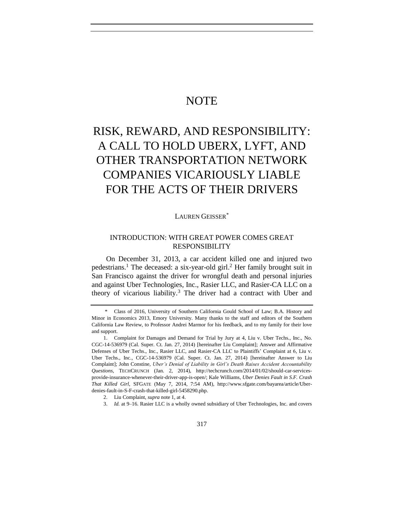# **NOTE**

# RISK, REWARD, AND RESPONSIBILITY: A CALL TO HOLD UBERX, LYFT, AND OTHER TRANSPORTATION NETWORK COMPANIES VICARIOUSLY LIABLE FOR THE ACTS OF THEIR DRIVERS

LAUREN GEISSER\*

# <span id="page-0-0"></span>INTRODUCTION: WITH GREAT POWER COMES GREAT RESPONSIBILITY

On December 31, 2013, a car accident killed one and injured two pedestrians.<sup>1</sup> The deceased: a six-year-old girl.<sup>2</sup> Her family brought suit in San Francisco against the driver for wrongful death and personal injuries and against Uber Technologies, Inc., Rasier LLC, and Rasier-CA LLC on a theory of vicarious liability.<sup>3</sup> The driver had a contract with Uber and

<sup>\*</sup> Class of 2016, University of Southern California Gould School of Law; B.A. History and Minor in Economics 2013, Emory University. Many thanks to the staff and editors of the Southern California Law Review, to Professor Andrei Marmor for his feedback, and to my family for their love and support.

<sup>1.</sup> Complaint for Damages and Demand for Trial by Jury at 4, Liu v. Uber Techs., Inc., No. CGC-14-536979 (Cal. Super. Ct. Jan. 27, 2014) [hereinafter Liu Complaint]; Answer and Affirmative Defenses of Uber Techs., Inc., Rasier LLC, and Rasier-CA LLC to Plaintiffs' Complaint at 6, Liu v. Uber Techs., Inc., CGC-14-536979 (Cal. Super. Ct. Jan. 27, 2014) [hereinafter Answer to Liu Complaint]; John Constine, *Uber's Denial of Liability in Girl's Death Raises Accident Accountability Questions*, TECHCRUNCH (Jan. 2, 2014), http://techcrunch.com/2014/01/02/should-car-servicesprovide-insurance-whenever-their-driver-app-is-open/; Kale Williams, *Uber Denies Fault in S.F. Crash That Killed Girl*, SFGATE (May 7, 2014, 7:54 AM), http://www.sfgate.com/bayarea/article/Uberdenies-fault-in-S-F-crash-that-killed-girl-5458290.php.

<sup>2.</sup> Liu Complaint, *supra* not[e 1,](#page-0-0) at 4.

<sup>3.</sup> *Id.* at 9–16. Rasier LLC is a wholly owned subsidiary of Uber Technologies, Inc. and covers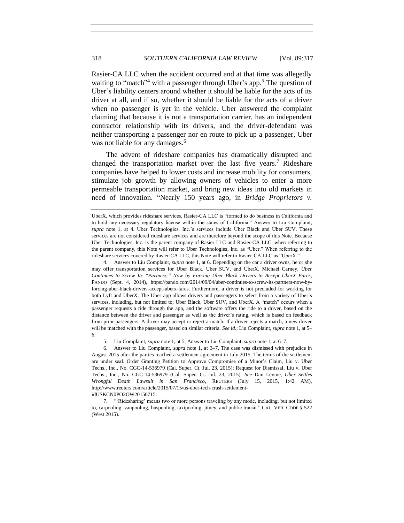Rasier-CA LLC when the accident occurred and at that time was allegedly waiting to "match"<sup>4</sup> with a passenger through Uber's app.<sup>5</sup> The question of Uber's liability centers around whether it should be liable for the acts of its driver at all, and if so, whether it should be liable for the acts of a driver when no passenger is yet in the vehicle. Uber answered the complaint claiming that because it is not a transportation carrier, has an independent contractor relationship with its drivers, and the driver-defendant was neither transporting a passenger nor en route to pick up a passenger, Uber was not liable for any damages.<sup>6</sup>

<span id="page-1-0"></span>The advent of rideshare companies has dramatically disrupted and changed the transportation market over the last five years.<sup>7</sup> Rideshare companies have helped to lower costs and increase mobility for consumers, stimulate job growth by allowing owners of vehicles to enter a more permeable transportation market, and bring new ideas into old markets in need of innovation. "Nearly 150 years ago, in *Bridge Proprietors v.* 

4. Answer to Liu Complaint, *supra* not[e 1,](#page-0-0) at 6. Depending on the car a driver owns, he or she may offer transportation services for Uber Black, Uber SUV, and UberX. Michael Carney, *Uber Continues to Screw Its "Partners," Now by Forcing Uber Black Drivers to Accept UberX Fares*, PANDO (Sept. 4, 2014), https://pando.com/2014/09/04/uber-continues-to-screw-its-partners-now-byforcing-uber-black-drivers-accept-uberx-fares. Furthermore, a driver is not precluded for working for both Lyft and UberX. The Uber app allows drivers and passengers to select from a variety of Uber's services, including, but not limited to, Uber Black, Uber SUV, and UberX. A "match" occurs when a passenger requests a ride through the app, and the software offers the ride to a driver, based on the distance between the driver and passenger as well as the driver's rating, which is based on feedback from prior passengers. A driver may accept or reject a match. If a driver rejects a match, a new driver will be matched with the passenger, based on similar criteria. *See id.*; Liu Complaint, *supra* not[e 1,](#page-0-0) at 5– 6.

5. Liu Complaint, *supra* not[e 1,](#page-0-0) at 5; Answer to Liu Complaint, *supra* not[e 1,](#page-0-0) at 6–7.

6. Answer to Liu Complaint, *supra* note [1,](#page-0-0) at 3–7. The case was dismissed with prejudice in August 2015 after the parties reached a settlement agreement in July 2015. The terms of the settlement are under seal. Order Granting Petition to Approve Compromise of a Minor's Claim, Liu v. Uber Techs., Inc., No. CGC-14-536979 (Cal. Super. Ct. Jul. 23, 2015); Request for Dismissal, Liu v. Uber Techs., Inc., No. CGC-14-536979 (Cal. Super. Ct. Jul. 23, 2015). *See* Dan Levine, *Uber Settles Wrongful Death Lawsuit in San Francisco*, REUTERS (July 15, 2015, 1:42 AM), http://www.reuters.com/article/2015/07/15/us-uber-tech-crash-settlement-

idUSKCN0PO2OW20150715.

7. "'Ridesharing' means two or more persons traveling by any mode, including, but not limited to, carpooling, vanpooling, buspooling, taxipooling, jitney, and public transit." CAL. VEH. CODE § 522 (West 2015).

UberX, which provides rideshare services. Rasier-CA LLC is "formed to do business in California and to hold any necessary regulatory license within the states of California." Answer to Liu Complaint, *supra* note [1,](#page-0-0) at 4. Uber Technologies, Inc.'s services include Uber Black and Uber SUV. These services are not considered rideshare services and are therefore beyond the scope of this Note. Because Uber Technologies, Inc. is the parent company of Rasier LLC and Rasier-CA LLC, when referring to the parent company, this Note will refer to Uber Technologies, Inc. as "Uber." When referring to the rideshare services covered by Rasier-CA LLC, this Note will refer to Rasier-CA LLC as "UberX."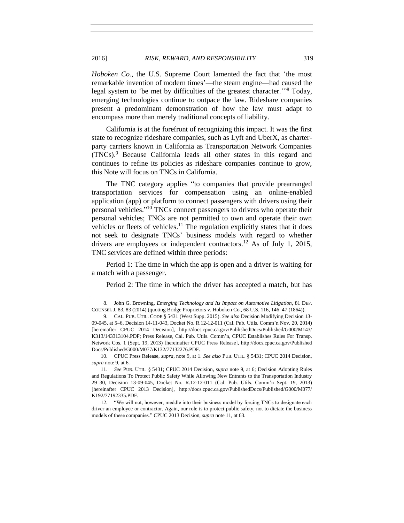*Hoboken Co.*, the U.S. Supreme Court lamented the fact that 'the most remarkable invention of modern times'—the steam engine—had caused the legal system to 'be met by difficulties of the greatest character.'" <sup>8</sup> Today, emerging technologies continue to outpace the law. Rideshare companies present a predominant demonstration of how the law must adapt to encompass more than merely traditional concepts of liability.

<span id="page-2-0"></span>California is at the forefront of recognizing this impact. It was the first state to recognize rideshare companies, such as Lyft and UberX, as charterparty carriers known in California as Transportation Network Companies  $(TNCs)$ . Because California leads all other states in this regard and continues to refine its policies as rideshare companies continue to grow, this Note will focus on TNCs in California.

The TNC category applies "to companies that provide prearranged transportation services for compensation using an online-enabled application (app) or platform to connect passengers with drivers using their personal vehicles." <sup>10</sup> TNCs connect passengers to drivers who operate their personal vehicles; TNCs are not permitted to own and operate their own vehicles or fleets of vehicles.<sup>11</sup> The regulation explicitly states that it does not seek to designate TNCs' business models with regard to whether drivers are employees or independent contractors.<sup>12</sup> As of July 1, 2015, TNC services are defined within three periods:

Period 1: The time in which the app is open and a driver is waiting for a match with a passenger.

<span id="page-2-1"></span>Period 2: The time in which the driver has accepted a match, but has

10. CPUC Press Release, *supra*, not[e 9,](#page-2-0) at 1. *See also* PUB. UTIL. § 5431; CPUC 2014 Decision, *supra* not[e 9,](#page-2-0) at 6.

<span id="page-2-2"></span>

<sup>8.</sup> John G. Browning, *Emerging Technology and Its Impact on Automotive Litigation*, 81 DEF. COUNSEL J. 83, 83 (2014) (quoting Bridge Proprietors v. Hoboken Co., 68 U.S. 116, 146–47 (1864)).

<sup>9.</sup> CAL. PUB. UTIL. CODE § 5431 (West Supp. 2015). *See also* Decision Modifying Decision 13- 09-045, at 5–6, Decision 14-11-043, Docket No. R.12-12-011 (Cal. Pub. Utils. Comm'n Nov. 20, 2014) [hereinafter CPUC 2014 Decision], http://docs.cpuc.ca.gov/PublishedDocs/Published/G000/M143/ K313/143313104.PDF; Press Release, Cal. Pub. Utils. Comm'n, CPUC Establishes Rules For Transp. Network Cos. 1 (Sept. 19, 2013) [hereinafter CPUC Press Release], http://docs.cpuc.ca.gov/Published Docs/Published/G000/M077/K132/77132276.PDF.

<sup>11.</sup> *See* PUB. UTIL. § 5431; CPUC 2014 Decision, *supra* not[e 9,](#page-2-0) at 6; Decision Adopting Rules and Regulations To Protect Public Safety While Allowing New Entrants to the Transportation Industry 29–30, Decision 13-09-045, Docket No. R.12-12-011 (Cal. Pub. Utils. Comm'n Sept. 19, 2013) [hereinafter CPUC 2013 Decision], http://docs.cpuc.ca.gov/PublishedDocs/Published/G000/M077/ K192/77192335.PDF.

<sup>12.</sup> "We will not, however, meddle into their business model by forcing TNCs to designate each driver an employee or contractor. Again, our role is to protect public safety, not to dictate the business models of these companies." CPUC 2013 Decision, *supra* note [11,](#page-2-1) at 63.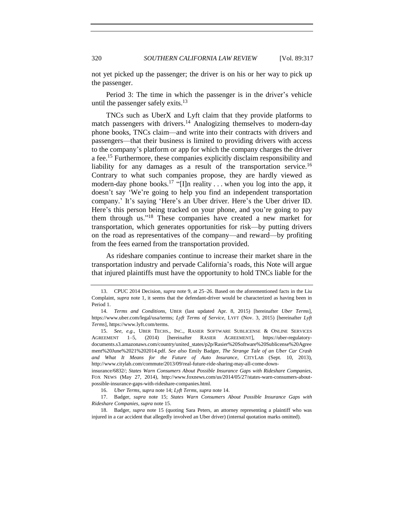not yet picked up the passenger; the driver is on his or her way to pick up the passenger.

<span id="page-3-2"></span>Period 3: The time in which the passenger is in the driver's vehicle until the passenger safely exits.<sup>13</sup>

<span id="page-3-1"></span><span id="page-3-0"></span>TNCs such as UberX and Lyft claim that they provide platforms to match passengers with drivers.<sup>14</sup> Analogizing themselves to modern-day phone books, TNCs claim—and write into their contracts with drivers and passengers—that their business is limited to providing drivers with access to the company's platform or app for which the company charges the driver a fee.<sup>15</sup> Furthermore, these companies explicitly disclaim responsibility and liability for any damages as a result of the transportation service.<sup>16</sup> Contrary to what such companies propose, they are hardly viewed as modern-day phone books.<sup>17</sup> "[I]n reality ... when you log into the app, it doesn't say 'We're going to help you find an independent transportation company.' It's saying 'Here's an Uber driver. Here's the Uber driver ID. Here's this person being tracked on your phone, and you're going to pay them through us."<sup>18</sup> These companies have created a new market for transportation, which generates opportunities for risk—by putting drivers on the road as representatives of the company—and reward—by profiting from the fees earned from the transportation provided.

As rideshare companies continue to increase their market share in the transportation industry and pervade California's roads, this Note will argue that injured plaintiffs must have the opportunity to hold TNCs liable for the

<sup>13.</sup> CPUC 2014 Decision, *supra* not[e 9,](#page-2-0) at 25–26. Based on the aforementioned facts in the Liu Complaint, *supra* note [1,](#page-0-0) it seems that the defendant-driver would be characterized as having been in Period 1.

<sup>14.</sup> *Terms and Conditions*, UBER (last updated Apr. 8, 2015) [hereinafter *Uber Terms*], https://www.uber.com/legal/usa/terms; *Lyft Terms of Service*, LYFT (Nov. 3, 2015) [hereinafter *Lyft Terms*], https://www.lyft.com/terms.

<sup>15.</sup> *See, e.g.*, UBER TECHS., INC., RASIER SOFTWARE SUBLICENSE & ONLINE SERVICES AGREEMENT 1–5, (2014) [hereinafter RASIER AGREEMENT], https://uber-regulatorydocuments.s3.amazonaws.com/country/united\_states/p2p/Rasier%20Software%20Sublicense%20Agree ment%20June%2021%202014.pdf. *See also* Emily Badger, *The Strange Tale of an Uber Car Crash and What It Means for the Future of Auto Insurance*, CITYLAB (Sept. 10, 2013), http://www.citylab.com/commute/2013/09/real-future-ride-sharing-may-all-come-down-

insurance/6832/; *States Warn Consumers About Possible Insurance Gaps with Rideshare Companies*, FOX NEWS (May 27, 2014), http://www.foxnews.com/us/2014/05/27/states-warn-consumers-aboutpossible-insurance-gaps-with-rideshare-companies.html.

<sup>16.</sup> *Uber Terms*, *supra* not[e 14;](#page-3-0) *Lyft Terms*, *supra* not[e 14.](#page-3-0)

<sup>17.</sup> Badger, *supra* note [15;](#page-3-1) *States Warn Consumers About Possible Insurance Gaps with Rideshare Companies*, *supra* not[e 15.](#page-3-1)

<sup>18.</sup> Badger, *supra* note [15](#page-3-1) (quoting Sara Peters, an attorney representing a plaintiff who was injured in a car accident that allegedly involved an Uber driver) (internal quotation marks omitted).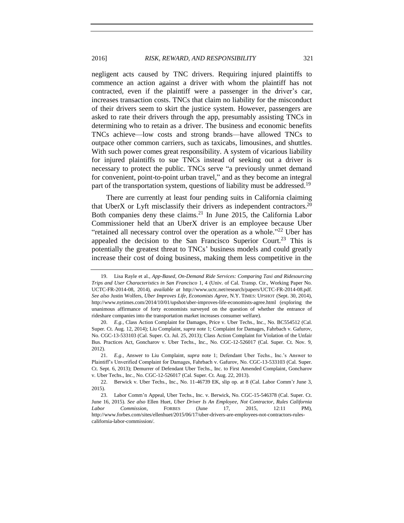#### 2016] *RISK, REWARD, AND RESPONSIBILITY* 321

negligent acts caused by TNC drivers. Requiring injured plaintiffs to commence an action against a driver with whom the plaintiff has not contracted, even if the plaintiff were a passenger in the driver's car, increases transaction costs. TNCs that claim no liability for the misconduct of their drivers seem to skirt the justice system. However, passengers are asked to rate their drivers through the app, presumably assisting TNCs in determining who to retain as a driver. The business and economic benefits TNCs achieve—low costs and strong brands—have allowed TNCs to outpace other common carriers, such as taxicabs, limousines, and shuttles. With such power comes great responsibility. A system of vicarious liability for injured plaintiffs to sue TNCs instead of seeking out a driver is necessary to protect the public. TNCs serve "a previously unmet demand for convenient, point-to-point urban travel," and as they become an integral part of the transportation system, questions of liability must be addressed.<sup>19</sup>

There are currently at least four pending suits in California claiming that UberX or Lyft misclassify their drivers as independent contractors.<sup>20</sup> Both companies deny these claims. $^{21}$  In June 2015, the California Labor Commissioner held that an UberX driver is an employee because Uber "retained all necessary control over the operation as a whole."<sup>22</sup> Uber has appealed the decision to the San Francisco Superior Court.<sup>23</sup> This is potentially the greatest threat to TNCs' business models and could greatly increase their cost of doing business, making them less competitive in the

<span id="page-4-3"></span><span id="page-4-2"></span><span id="page-4-1"></span><span id="page-4-0"></span>

<sup>19.</sup> Lisa Rayle et al., *App-Based, On-Demand Ride Services: Comparing Taxi and Ridesourcing Trips and User Characteristics in San Francisco* 1, 4 (Univ. of Cal. Transp. Ctr., Working Paper No. UCTC-FR-2014-08, 2014), *available at* http://www.uctc.net/research/papers/UCTC-FR-2014-08.pdf. *See also* Justin Wolfers, *Uber Improves Life, Economists Agree*, N.Y. TIMES: UPSHOT (Sept. 30, 2014), http://www.nytimes.com/2014/10/01/upshot/uber-improves-life-economists-agree.html (exploring the unanimous affirmance of forty economists surveyed on the question of whether the entrance of rideshare companies into the transportation market increases consumer welfare).

<sup>20.</sup> *E.g.*, Class Action Complaint for Damages, Price v. Uber Techs., Inc., No. BC554512 (Cal. Super. Ct. Aug. 12, 2014); Liu Complaint, *supra* not[e 1;](#page-0-0) Complaint for Damages, Fahrbach v. Gafurov, No. CGC-13-533103 (Cal. Super. Ct. Jul. 25, 2013); Class Action Complaint for Violation of the Unfair Bus. Practices Act, Goncharov v. Uber Techs., Inc., No. CGC-12-526017 (Cal. Super. Ct. Nov. 9, 2012).

<sup>21.</sup> *E.g.,* Answer to Liu Complaint, *supra* note [1;](#page-0-0) Defendant Uber Techs., Inc.'s Answer to Plaintiff's Unverified Complaint for Damages, Fahrbach v. Gafurov, No. CGC-13-533103 (Cal. Super. Ct. Sept. 6, 2013); Demurrer of Defendant Uber Techs., Inc. to First Amended Complaint, Goncharov v. Uber Techs., Inc., No. CGC-12-526017 (Cal. Super. Ct. Aug. 22, 2013).

<sup>22.</sup> Berwick v. Uber Techs., Inc., No. 11-46739 EK, slip op. at 8 (Cal. Labor Comm'r June 3, 2015).

<sup>23.</sup> Labor Comm'n Appeal, Uber Techs., Inc. v. Berwick, No. CGC-15-546378 (Cal. Super. Ct. June 16, 2015). *See also* Ellen Huet, *Uber Driver Is An Employee, Not Contractor, Rules California Labor Commission*, FORBES (June 17, 2015, 12:11 PM), http://www.forbes.com/sites/ellenhuet/2015/06/17/uber-drivers-are-employees-not-contractors-rulescalifornia-labor-commission/.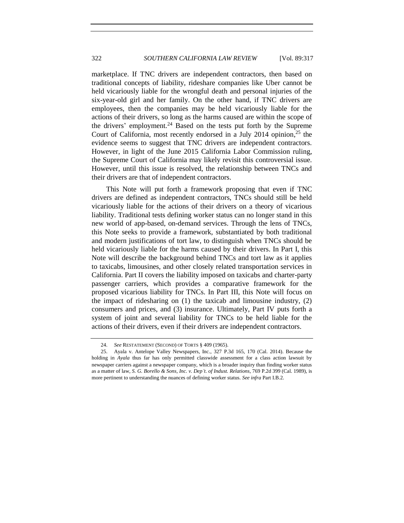marketplace. If TNC drivers are independent contractors, then based on traditional concepts of liability, rideshare companies like Uber cannot be held vicariously liable for the wrongful death and personal injuries of the six-year-old girl and her family. On the other hand, if TNC drivers are employees, then the companies may be held vicariously liable for the actions of their drivers, so long as the harms caused are within the scope of the drivers' employment.<sup>24</sup> Based on the tests put forth by the Supreme Court of California, most recently endorsed in a July 2014 opinion, $25$  the evidence seems to suggest that TNC drivers are independent contractors. However, in light of the June 2015 California Labor Commission ruling, the Supreme Court of California may likely revisit this controversial issue. However, until this issue is resolved, the relationship between TNCs and their drivers are that of independent contractors.

<span id="page-5-0"></span>This Note will put forth a framework proposing that even if TNC drivers are defined as independent contractors, TNCs should still be held vicariously liable for the actions of their drivers on a theory of vicarious liability. Traditional tests defining worker status can no longer stand in this new world of app-based, on-demand services. Through the lens of TNCs, this Note seeks to provide a framework, substantiated by both traditional and modern justifications of tort law, to distinguish when TNCs should be held vicariously liable for the harms caused by their drivers. In Part I, this Note will describe the background behind TNCs and tort law as it applies to taxicabs, limousines, and other closely related transportation services in California. Part II covers the liability imposed on taxicabs and charter-party passenger carriers, which provides a comparative framework for the proposed vicarious liability for TNCs. In Part III, this Note will focus on the impact of ridesharing on (1) the taxicab and limousine industry, (2) consumers and prices, and (3) insurance. Ultimately, Part IV puts forth a system of joint and several liability for TNCs to be held liable for the actions of their drivers, even if their drivers are independent contractors.

<sup>24.</sup> *See* RESTATEMENT (SECOND) OF TORTS § 409 (1965).

<sup>25.</sup> Ayala v. Antelope Valley Newspapers, Inc., 327 P.3d 165, 170 (Cal. 2014). Because the holding in *Ayala* thus far has only permitted classwide assessment for a class action lawsuit by newspaper carriers against a newspaper company, which is a broader inquiry than finding worker status as a matter of law, *S. G. Borello & Sons, Inc. v. Dep't. of Indust. Relations*, 769 P.2d 399 (Cal. 1989), is more pertinent to understanding the nuances of defining worker status. *See infra* Part I.B.2.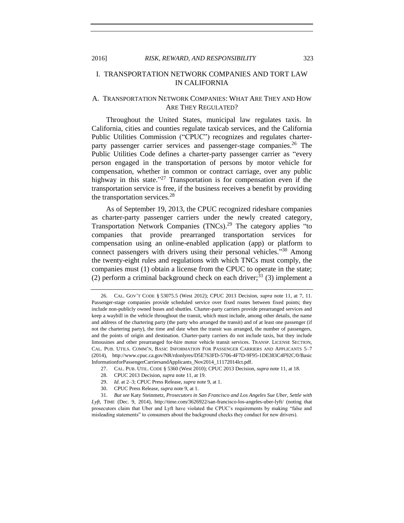# I. TRANSPORTATION NETWORK COMPANIES AND TORT LAW IN CALIFORNIA

# A. TRANSPORTATION NETWORK COMPANIES: WHAT ARE THEY AND HOW ARE THEY REGULATED?

Throughout the United States, municipal law regulates taxis. In California, cities and counties regulate taxicab services, and the California Public Utilities Commission ("CPUC") recognizes and regulates charterparty passenger carrier services and passenger-stage companies.<sup>26</sup> The Public Utilities Code defines a charter-party passenger carrier as "every person engaged in the transportation of persons by motor vehicle for compensation, whether in common or contract carriage, over any public highway in this state."<sup>27</sup> Transportation is for compensation even if the transportation service is free, if the business receives a benefit by providing the transportation services.<sup>28</sup>

As of September 19, 2013, the CPUC recognized rideshare companies as charter-party passenger carriers under the newly created category, Transportation Network Companies (TNCs).<sup>29</sup> The category applies "to companies that provide prearranged transportation services for compensation using an online-enabled application (app) or platform to connect passengers with drivers using their personal vehicles."<sup>30</sup> Among the twenty-eight rules and regulations with which TNCs must comply, the companies must (1) obtain a license from the CPUC to operate in the state; (2) perform a criminal background check on each driver;<sup>31</sup> (3) implement a

<sup>26.</sup> CAL. GOV'T CODE § 53075.5 (West 2012); CPUC 2013 Decision, *supra* note [11,](#page-2-1) at 7, 11. Passenger-stage companies provide scheduled service over fixed routes between fixed points; they include non-publicly owned buses and shuttles. Charter-party carriers provide prearranged services and keep a waybill in the vehicle throughout the transit, which must include, among other details, the name and address of the chartering party (the party who arranged the transit) and of at least one passenger (if not the chartering party), the time and date when the transit was arranged, the number of passengers, and the points of origin and destination. Charter-party carriers do not include taxis, but they include limousines and other prearranged for-hire motor vehicle transit services. TRANSP. LICENSE SECTION, CAL. PUB. UTILS. COMM'N, BASIC INFORMATION FOR PASSENGER CARRIERS AND APPLICANTS 5–7 (2014), http://www.cpuc.ca.gov/NR/rdonlyres/D5E763FD-5706-4F7D-9F95-1DE383C4F92C/0/Basic InformationforPassengerCarriersandApplicants\_Nov2014\_11172014lct.pdf.

<sup>27.</sup> CAL. PUB. UTIL. CODE § 5360 (West 2010); CPUC 2013 Decision, *supra* not[e 11,](#page-2-1) at 18.

<sup>28.</sup> CPUC 2013 Decision, *supra* note [11,](#page-2-1) at 19.

<sup>29.</sup> *Id*. at 2–3; CPUC Press Release, *supra* not[e 9,](#page-2-0) at 1.

<sup>30.</sup> CPUC Press Release, *supra* not[e 9,](#page-2-0) at 1.

<sup>31.</sup> *But see* Katy Steinmetz, *Prosecutors in San Francisco and Los Angeles Sue Uber, Settle with Lyft*, TIME (Dec. 9, 2014), http://time.com/3626922/san-francisco-los-angeles-uber-lyft/ (noting that prosecutors claim that Uber and Lyft have violated the CPUC's requirements by making "false and misleading statements" to consumers about the background checks they conduct for new drivers).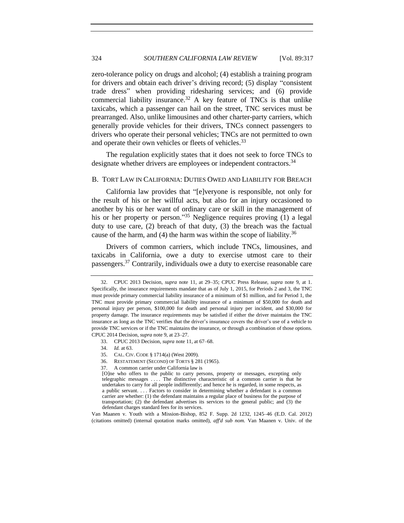zero-tolerance policy on drugs and alcohol; (4) establish a training program for drivers and obtain each driver's driving record; (5) display "consistent trade dress" when providing ridesharing services; and (6) provide commercial liability insurance.<sup>32</sup> A key feature of TNCs is that unlike taxicabs, which a passenger can hail on the street, TNC services must be prearranged. Also, unlike limousines and other charter-party carriers, which generally provide vehicles for their drivers, TNCs connect passengers to drivers who operate their personal vehicles; TNCs are not permitted to own and operate their own vehicles or fleets of vehicles.<sup>33</sup>

The regulation explicitly states that it does not seek to force TNCs to designate whether drivers are employees or independent contractors.<sup>34</sup>

#### B. TORT LAW IN CALIFORNIA: DUTIES OWED AND LIABILITY FOR BREACH

California law provides that "[e]veryone is responsible, not only for the result of his or her willful acts, but also for an injury occasioned to another by his or her want of ordinary care or skill in the management of his or her property or person."<sup>35</sup> Negligence requires proving (1) a legal duty to use care, (2) breach of that duty, (3) the breach was the factual cause of the harm, and (4) the harm was within the scope of liability.<sup>36</sup>

<span id="page-7-0"></span>Drivers of common carriers, which include TNCs, limousines, and taxicabs in California, owe a duty to exercise utmost care to their passengers.<sup>37</sup> Contrarily, individuals owe a duty to exercise reasonable care

- 36. RESTATEMENT (SECOND) OF TORTS § 281 (1965).
- 37. A common carrier under California law is

Van Maanen v. Youth with a Mission-Bishop, 852 F. Supp. 2d 1232, 1245–46 (E.D. Cal. 2012) (citations omitted) (internal quotation marks omitted), *aff'd sub nom.* Van Maanen v. Univ. of the

<sup>32.</sup> CPUC 2013 Decision, *supra* note [11,](#page-2-1) at 29–35; CPUC Press Release, *supra* note [9,](#page-2-0) at 1. Specifically, the insurance requirements mandate that as of July 1, 2015, for Periods 2 and 3, the TNC must provide primary commercial liability insurance of a minimum of \$1 million, and for Period 1, the TNC must provide primary commercial liability insurance of a minimum of \$50,000 for death and personal injury per person, \$100,000 for death and personal injury per incident, and \$30,000 for property damage. The insurance requirements may be satisfied if either the driver maintains the TNC insurance as long as the TNC verifies that the driver's insurance covers the driver's use of a vehicle to provide TNC services or if the TNC maintains the insurance, or through a combination of those options. CPUC 2014 Decision, *supra* not[e 9,](#page-2-0) at 23–27.

<sup>33.</sup> CPUC 2013 Decision, *supra* note [11,](#page-2-1) at 67–68.

<sup>34.</sup> *Id.* at 63.

<sup>35.</sup> CAL. CIV. CODE § 1714(a) (West 2009).

<sup>[</sup>O]ne who offers to the public to carry persons, property or messages, excepting only telegraphic messages . . . . The distinctive characteristic of a common carrier is that he undertakes to carry for all people indifferently; and hence he is regarded, in some respects, as a public servant. . . . Factors to consider in determining whether a defendant is a common carrier are whether: (1) the defendant maintains a regular place of business for the purpose of transportation; (2) the defendant advertises its services to the general public; and (3) the defendant charges standard fees for its services.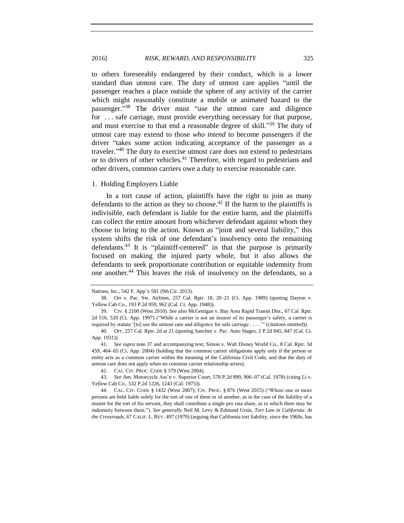#### 2016] *RISK, REWARD, AND RESPONSIBILITY* 325

to others foreseeably endangered by their conduct, which is a lower standard than utmost care. The duty of utmost care applies "until the passenger reaches a place outside the sphere of any activity of the carrier which might reasonably constitute a mobile or animated hazard to the passenger."<sup>38</sup> The driver must "use the utmost care and diligence for . . . safe carriage, must provide everything necessary for that purpose, and must exercise to that end a reasonable degree of skill."<sup>39</sup> The duty of utmost care may extend to those *who intend* to become passengers if the driver "takes some action indicating acceptance of the passenger as a traveler." <sup>40</sup> The duty to exercise utmost care does not extend to pedestrians or to drivers of other vehicles.<sup>41</sup> Therefore, with regard to pedestrians and other drivers, common carriers owe a duty to exercise reasonable care.

#### <span id="page-8-0"></span>1. Holding Employers Liable

In a tort cause of action, plaintiffs have the right to join as many defendants to the action as they so choose.<sup>42</sup> If the harm to the plaintiffs is indivisible, each defendant is liable for the entire harm, and the plaintiffs can collect the entire amount from whichever defendant against whom they choose to bring to the action. Known as "joint and several liability," this system shifts the risk of one defendant's insolvency onto the remaining defendants.<sup>43</sup> It is "plaintiff-centered" in that the purpose is primarily focused on making the injured party whole, but it also allows the defendants to seek proportionate contribution or equitable indemnity from one another.<sup>44</sup> This leaves the risk of insolvency on the defendants, so a

Nations, Inc., 542 F. App'x 581 (9th Cir. 2013).

<sup>38.</sup> Orr v. Pac. Sw. Airlines, 257 Cal. Rptr. 18, 20–21 (Ct. App. 1989) (quoting Dayton v. Yellow Cab Co., 193 P.2d 959, 962 (Cal. Ct. App. 1948)).

<sup>39.</sup> CIV. § 2100 (West 2010). *See also* McGettigan v. Bay Area Rapid Transit Dist., 67 Cal. Rptr. 2d 516, 520 (Ct. App. 1997) ("While a carrier is not an insurer of its passenger's safety, a carrier is required by statute '[to] use the utmost care and diligence for safe carriage . . . . '" (citations omitted)).

<sup>40.</sup> *Orr*, 257 Cal. Rptr. 2d at 21 (quoting Sanchez v. Pac. Auto Stages, 2 P.2d 845, 847 (Cal. Ct. App. 1931)).

<sup>41.</sup> *See supra* note [37](#page-7-0) and accompanying text; Simon v. Walt Disney World Co., 8 Cal. Rptr. 3d 459, 464–65 (Ct. App. 2004) (holding that the common carrier obligations apply only if the person or entity acts as a common carrier within the meaning of the California Civil Code, and that the duty of utmost care does not apply when no common carrier relationship arises).

<sup>42.</sup> CAL. CIV. PROC. CODE § 379 (West 2004).

<sup>43.</sup> *See* Am. Motorcycle Ass'n v. Superior Court, 578 P.2d 899, 906–07 (Cal. 1978) (citing Li v. Yellow Cab Co., 532 P.2d 1226, 1243 (Cal. 1975)).

<sup>44.</sup> CAL. CIV. CODE § 1432 (West 2007); CIV. PROC. § 876 (West 2015) ("Where one or more persons are held liable solely for the tort of one of them or of another, as in the case of the liability of a master for the tort of his servant, they shall contribute a single pro rata share, as to which there may be indemnity between them."). *See generally* Neil M. Levy & Edmund Ursin, *Tort Law in California: At the Crossroads*, 67 CALIF. L. REV. 497 (1979) (arguing that California tort liability, since the 1960s, has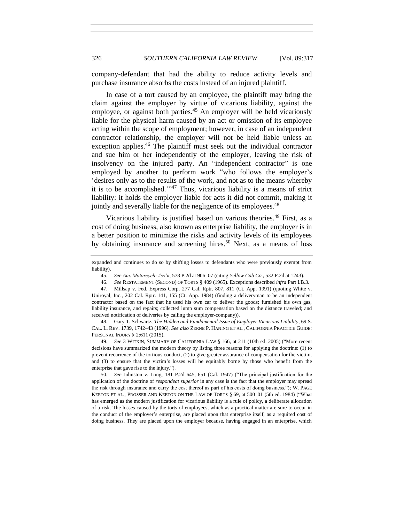company-defendant that had the ability to reduce activity levels and purchase insurance absorbs the costs instead of an injured plaintiff.

In case of a tort caused by an employee, the plaintiff may bring the claim against the employer by virtue of vicarious liability, against the employee, or against both parties.<sup>45</sup> An employer will be held vicariously liable for the physical harm caused by an act or omission of its employee acting within the scope of employment; however, in case of an independent contractor relationship, the employer will not be held liable unless an exception applies.<sup>46</sup> The plaintiff must seek out the individual contractor and sue him or her independently of the employer, leaving the risk of insolvency on the injured party. An "independent contractor" is one employed by another to perform work "who follows the employer's 'desires only as to the results of the work, and not as to the means whereby it is to be accomplished.'" <sup>47</sup> Thus, vicarious liability is a means of strict liability: it holds the employer liable for acts it did not commit, making it jointly and severally liable for the negligence of its employees.<sup>48</sup>

<span id="page-9-2"></span><span id="page-9-0"></span>Vicarious liability is justified based on various theories.<sup>49</sup> First, as a cost of doing business, also known as enterprise liability, the employer is in a better position to minimize the risks and activity levels of its employees by obtaining insurance and screening hires.<sup>50</sup> Next, as a means of loss

49. *See* 3 WITKIN, SUMMARY OF CALIFORNIA LAW § 166, at 211 (10th ed. 2005) ("More recent decisions have summarized the modern theory by listing three reasons for applying the doctrine: (1) to prevent recurrence of the tortious conduct, (2) to give greater assurance of compensation for the victim, and (3) to ensure that the victim's losses will be equitably borne by those who benefit from the enterprise that gave rise to the injury.").

50. *See* Johnston v. Long, 181 P.2d 645, 651 (Cal. 1947) ("The principal justification for the application of the doctrine of *respondeat superior* in any case is the fact that the employer may spread the risk through insurance and carry the cost thereof as part of his costs of doing business."); W. PAGE KEETON ET AL., PROSSER AND KEETON ON THE LAW OF TORTS § 69, at 500–01 (5th ed. 1984) ("What has emerged as the modern justification for vicarious liability is a rule of policy, a deliberate allocation of a risk. The losses caused by the torts of employees, which as a practical matter are sure to occur in the conduct of the employer's enterprise, are placed upon that enterprise itself, as a required cost of doing business. They are placed upon the employer because, having engaged in an enterprise, which

expanded and continues to do so by shifting losses to defendants who were previously exempt from liability).

<span id="page-9-1"></span><sup>45.</sup> *See Am. Motorcycle Ass'n*, 578 P.2d at 906–07 (citing *Yellow Cab Co.*, 532 P.2d at 1243).

<sup>46.</sup> *See* RESTATEMENT (SECOND) OF TORTS § 409 (1965). Exceptions described *infra* Part I.B.3.

<sup>47.</sup> Millsap v. Fed. Express Corp. 277 Cal. Rptr. 807, 811 (Ct. App. 1991) (quoting White v. Uniroyal, Inc., 202 Cal. Rptr. 141, 155 (Ct. App. 1984) (finding a deliveryman to be an independent contractor based on the fact that he used his own car to deliver the goods; furnished his own gas, liability insurance, and repairs; collected lump sum compensation based on the distance traveled; and received notification of deliveries by calling the employer-company)).

<sup>48.</sup> Gary T. Schwartz, *The Hidden and Fundamental Issue of Employer Vicarious Liability*, 69 S. CAL. L. REV. 1739, 1742–43 (1996). *See also* ZERNE P. HANING ET AL., CALIFORNIA PRACTICE GUIDE: PERSONAL INJURY § 2:611 (2015).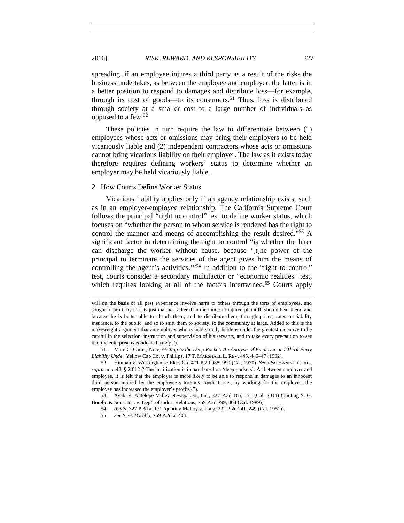spreading, if an employee injures a third party as a result of the risks the business undertakes, as between the employee and employer, the latter is in a better position to respond to damages and distribute loss—for example, through its cost of goods—to its consumers.<sup>51</sup> Thus, loss is distributed through society at a smaller cost to a large number of individuals as opposed to a few.<sup>52</sup>

<span id="page-10-1"></span>These policies in turn require the law to differentiate between (1) employees whose acts or omissions may bring their employers to be held vicariously liable and (2) independent contractors whose acts or omissions cannot bring vicarious liability on their employer. The law as it exists today therefore requires defining workers' status to determine whether an employer may be held vicariously liable.

#### 2. How Courts Define Worker Status

Vicarious liability applies only if an agency relationship exists, such as in an employer-employee relationship. The California Supreme Court follows the principal "right to control" test to define worker status, which focuses on "whether the person to whom service is rendered has the right to control the manner and means of accomplishing the result desired." <sup>53</sup> A significant factor in determining the right to control "is whether the hirer can discharge the worker without cause, because '[t]he power of the principal to terminate the services of the agent gives him the means of controlling the agent's activities.'" <sup>54</sup> In addition to the "right to control" test, courts consider a secondary multifactor or "economic realities" test, which requires looking at all of the factors intertwined.<sup>55</sup> Courts apply

<span id="page-10-0"></span>will on the basis of all past experience involve harm to others through the torts of employees, and sought to profit by it, it is just that he, rather than the innocent injured plaintiff, should bear them; and because he is better able to absorb them, and to distribute them, through prices, rates or liability insurance, to the public, and so to shift them to society, to the community at large. Added to this is the makeweight argument that an employer who is held strictly liable is under the greatest incentive to be careful in the selection, instruction and supervision of his servants, and to take every precaution to see that the enterprise is conducted safely.").

<sup>51.</sup> Marc C. Carter, Note, *Getting to the Deep Pocket: An Analysis of Employer and Third Party Liability Under* Yellow Cab Co. v. Phillips, 17 T. MARSHALL L. REV. 445, 446–47 (1992).

<sup>52.</sup> Hinman v. Westinghouse Elec. Co*.* 471 P.2d 988, 990 (Cal. 1970). *See also* HANING ET AL., *supra* not[e 48,](#page-9-0) § 2:612 ("The justification is in part based on 'deep pockets': As between employer and employee, it is felt that the employer is more likely to be able to respond in damages to an innocent third person injured by the employee's tortious conduct (i.e., by working for the employer, the employee has increased the employer's profits).").

<sup>53.</sup> Ayala v. Antelope Valley Newspapers, Inc., 327 P.3d 165, 171 (Cal. 2014) (quoting S. G. Borello & Sons, Inc. v. Dep't of Indus. Relations, 769 P.2d 399, 404 (Cal. 1989)).

<sup>54.</sup> *Ayala*, 327 P.3d at 171 (quoting Malloy v. Fong, 232 P.2d 241, 249 (Cal. 1951)).

<sup>55.</sup> *See S. G. Borello*, 769 P.2d at 404.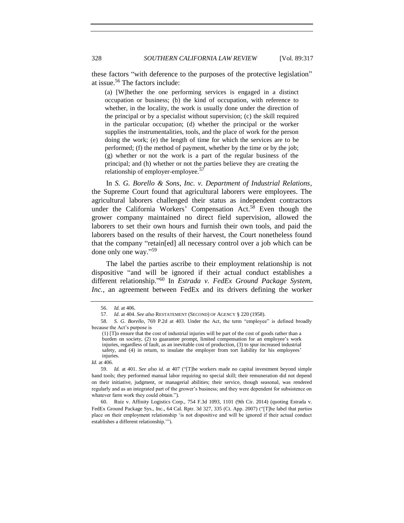328 *SOUTHERN CALIFORNIA LAW REVIEW* [Vol. 89:317

these factors "with deference to the purposes of the protective legislation" at issue.<sup>56</sup> The factors include:

(a) [W]hether the one performing services is engaged in a distinct occupation or business; (b) the kind of occupation, with reference to whether, in the locality, the work is usually done under the direction of the principal or by a specialist without supervision; (c) the skill required in the particular occupation; (d) whether the principal or the worker supplies the instrumentalities, tools, and the place of work for the person doing the work; (e) the length of time for which the services are to be performed; (f) the method of payment, whether by the time or by the job; (g) whether or not the work is a part of the regular business of the principal; and (h) whether or not the parties believe they are creating the relationship of employer-employee.<sup>57</sup>

In *S. G. Borello & Sons, Inc. v. Department of Industrial Relations*, the Supreme Court found that agricultural laborers were employees. The agricultural laborers challenged their status as independent contractors under the California Workers' Compensation Act.<sup>58</sup> Even though the grower company maintained no direct field supervision, allowed the laborers to set their own hours and furnish their own tools, and paid the laborers based on the results of their harvest, the Court nonetheless found that the company "retain[ed] all necessary control over a job which can be done only one way." 59

The label the parties ascribe to their employment relationship is not dispositive "and will be ignored if their actual conduct establishes a different relationship." <sup>60</sup> In *Estrada v. FedEx Ground Package System, Inc.*, an agreement between FedEx and its drivers defining the worker

<span id="page-11-0"></span><sup>56.</sup> *Id.* at 406.

<sup>57.</sup> *Id*. at 404. *See also* RESTATEMENT (SECOND) OF AGENCY § 220 (1958).

<sup>58.</sup> *S. G. Borello*, 769 P.2d at 403. Under the Act, the term "employee" is defined broadly because the Act's purpose is

<sup>(1) [</sup>T]o ensure that the cost of industrial injuries will be part of the cost of goods rather than a burden on society, (2) to guarantee prompt, limited compensation for an employee's work injuries, regardless of fault, as an inevitable cost of production, (3) to spur increased industrial safety, and (4) in return, to insulate the employer from tort liability for his employees' injuries.

*Id.* at 406.

<sup>59.</sup> *Id.* at 401. *See also id.* at 407 ("[T]he workers made no capital investment beyond simple hand tools; they performed manual labor requiring no special skill; their remuneration did not depend on their initiative, judgment, or managerial abilities; their service, though seasonal, was rendered regularly and as an integrated part of the grower's business; and they were dependent for subsistence on whatever farm work they could obtain.").

<sup>60.</sup> Ruiz v. Affinity Logistics Corp., 754 F.3d 1093, 1101 (9th Cir. 2014) (quoting Estrada v. FedEx Ground Package Sys., Inc., 64 Cal. Rptr. 3d 327, 335 (Ct. App. 2007) ("[T]he label that parties place on their employment relationship 'is not dispositive and will be ignored if their actual conduct establishes a different relationship.'").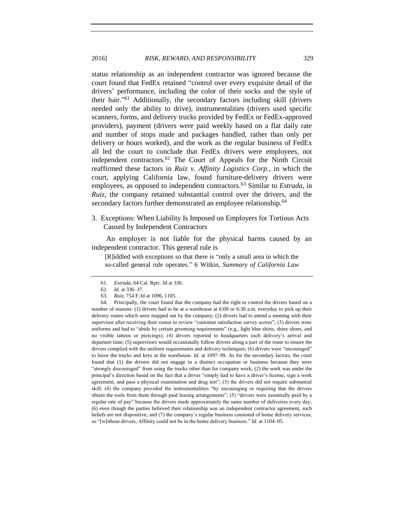<span id="page-12-1"></span>status relationship as an independent contractor was ignored because the court found that FedEx retained "control over every exquisite detail of the drivers' performance, including the color of their socks and the style of their hair." <sup>61</sup> Additionally, the secondary factors including skill (drivers needed only the ability to drive), instrumentalities (drivers used specific scanners, forms, and delivery trucks provided by FedEx or FedEx-approved providers), payment (drivers were paid weekly based on a flat daily rate and number of stops made and packages handled, rather than only per delivery or hours worked), and the work as the regular business of FedEx all led the court to conclude that FedEx drivers were employees, not independent contractors.<sup>62</sup> The Court of Appeals for the Ninth Circuit reaffirmed these factors in *Ruiz v. Affinity Logistics Corp.*, in which the court, applying California law, found furniture-delivery drivers were employees, as opposed to independent contractors.<sup>63</sup> Similar to *Estrada*, in *Ruiz*, the company retained substantial control over the drivers, and the secondary factors further demonstrated an employee relationship.<sup>64</sup>

3. Exceptions: When Liability Is Imposed on Employers for Tortious Acts Caused by Independent Contractors

An employer is not liable for the physical harms caused by an independent contractor. This general rule is

[R]iddled with exceptions so that there is "only a small area in which the so-called general rule operates." 6 Witkin, *Summary of California Law*

<span id="page-12-0"></span>

<sup>61.</sup> *Estrada*, 64 Cal. Rptr. 3d at 336.

<sup>62.</sup> *Id.* at 336–37.

<sup>63.</sup> *Ruiz*, 754 F.3d at 1096, 1105.

<sup>64.</sup> Principally, the court found that the company had the right to control the drivers based on a number of reasons: (1) drivers had to be at a warehouse at 6:00 or 6:30 a.m. everyday to pick up their delivery routes which were mapped out by the company; (2) drivers had to attend a meeting with their supervisor after receiving their routes to review "customer satisfaction survey scores"; (3) drivers wore uniforms and had to "abide by certain grooming requirements" (e.g., light blue shirts, shiny shoes, and no visible tattoos or piercings); (4) drivers reported to headquarters each delivery's arrival and departure time; (5) supervisors would occasionally follow drivers along a part of the route to ensure the drivers complied with the uniform requirements and delivery techniques; (6) drivers were "encouraged" to leave the trucks and keys at the warehouse. *Id.* at 1097–99. As for the secondary factors, the court found that (1) the drivers did not engage in a distinct occupation or business because they were "strongly discouraged" from using the trucks other than for company work; (2) the work was under the principal's direction based on the fact that a driver "simply had to have a driver's license, sign a work agreement, and pass a physical examination and drug test"; (3) the drivers did not require substantial skill; (4) the company provided the instrumentalities "by encouraging or requiring that the drivers obtain the tools from them through paid leasing arrangements"; (5) "drivers were essentially paid by a regular rate of pay" because the drivers made approximately the same number of deliveries every day; (6) even though the parties believed their relationship was an independent contractor agreement, such beliefs are not dispositive; and (7) the company's regular business consisted of home delivery services, so "[w]ithout drivers, Affinity could not be in the home delivery business." *Id.* at 1104–05.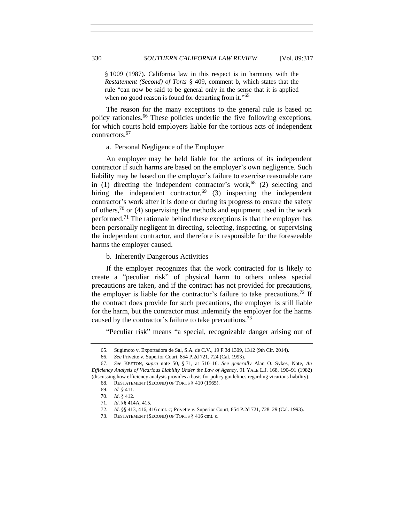<span id="page-13-0"></span>§ 1009 (1987). California law in this respect is in harmony with the *Restatement (Second) of Torts* § 409, comment b, which states that the rule "can now be said to be general only in the sense that it is applied when no good reason is found for departing from it."<sup>65</sup>

The reason for the many exceptions to the general rule is based on policy rationales.<sup>66</sup> These policies underlie the five following exceptions, for which courts hold employers liable for the tortious acts of independent contractors.<sup>67</sup>

a. Personal Negligence of the Employer

An employer may be held liable for the actions of its independent contractor if such harms are based on the employer's own negligence. Such liability may be based on the employer's failure to exercise reasonable care in (1) directing the independent contractor's work,<sup>68</sup> (2) selecting and hiring the independent contractor,<sup>69</sup> (3) inspecting the independent contractor's work after it is done or during its progress to ensure the safety of others,<sup>70</sup> or (4) supervising the methods and equipment used in the work performed.<sup>71</sup> The rationale behind these exceptions is that the employer has been personally negligent in directing, selecting, inspecting, or supervising the independent contractor, and therefore is responsible for the foreseeable harms the employer caused.

b. Inherently Dangerous Activities

If the employer recognizes that the work contracted for is likely to create a "peculiar risk" of physical harm to others unless special precautions are taken, and if the contract has not provided for precautions, the employer is liable for the contractor's failure to take precautions.<sup>72</sup> If the contract does provide for such precautions, the employer is still liable for the harm, but the contractor must indemnify the employer for the harms caused by the contractor's failure to take precautions.<sup>73</sup>

"Peculiar risk" means "a special, recognizable danger arising out of

<sup>65.</sup> Sugimoto v. Exportadora de Sal, S.A. de C.V*.,* 19 F.3d 1309, 1312 (9th Cir. 2014).

<sup>66.</sup> *See* Privette v. Superior Court, 854 P.2d 721, 724 (Cal. 1993).

<sup>67.</sup> *See* KEETON*, supra* note [50,](#page-9-1) § 71, at 510–16. *See generally* Alan O. Sykes, Note, *An Efficiency Analysis of Vicarious Liability Under the Law of Agency*, 91 YALE L.J. 168, 190–91 (1982) (discussing how efficiency analysis provides a basis for policy guidelines regarding vicarious liability).

<sup>68.</sup> RESTATEMENT (SECOND) OF TORTS § 410 (1965).

<sup>69.</sup> *Id.* § 411.

<sup>70.</sup> *Id*. § 412.

<sup>71.</sup> *Id*. §§ 414A, 415.

<sup>72.</sup> *Id*. §§ 413, 416, 416 cmt. c; Privette v. Superior Court, 854 P.2d 721, 728–29 (Cal. 1993).

<sup>73.</sup> RESTATEMENT (SECOND) OF TORTS § 416 cmt. c.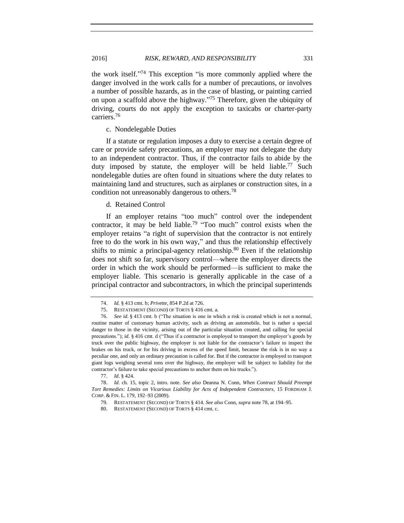the work itself." <sup>74</sup> This exception "is more commonly applied where the danger involved in the work calls for a number of precautions, or involves a number of possible hazards, as in the case of blasting, or painting carried on upon a scaffold above the highway." <sup>75</sup> Therefore, given the ubiquity of driving, courts do not apply the exception to taxicabs or charter-party carriers.<sup>76</sup>

c. Nondelegable Duties

If a statute or regulation imposes a duty to exercise a certain degree of care or provide safety precautions, an employer may not delegate the duty to an independent contractor. Thus, if the contractor fails to abide by the duty imposed by statute, the employer will be held liable.<sup>77</sup> Such nondelegable duties are often found in situations where the duty relates to maintaining land and structures, such as airplanes or construction sites, in a condition not unreasonably dangerous to others.<sup>78</sup>

#### <span id="page-14-0"></span>d. Retained Control

If an employer retains "too much" control over the independent contractor, it may be held liable.<sup>79</sup> "Too much" control exists when the employer retains "a right of supervision that the contractor is not entirely free to do the work in his own way," and thus the relationship effectively shifts to mimic a principal-agency relationship.<sup>80</sup> Even if the relationship does not shift so far, supervisory control—where the employer directs the order in which the work should be performed—is sufficient to make the employer liable. This scenario is generally applicable in the case of a principal contractor and subcontractors, in which the principal superintends

<sup>74.</sup> *Id.* § 413 cmt. b; *Privette*, 854 P.2d at 726.

<sup>75.</sup> RESTATEMENT (SECOND) OF TORTS § 416 cmt. a.

<sup>76.</sup> *See id*. § 413 cmt. b ("The situation is one in which a risk is created which is not a normal, routine matter of customary human activity, such as driving an automobile, but is rather a special danger to those in the vicinity, arising out of the particular situation created, and calling for special precautions."); *id.* § 416 cmt. d ("Thus if a contractor is employed to transport the employer's goods by truck over the public highway, the employer is not liable for the contractor's failure to inspect the brakes on his truck, or for his driving in excess of the speed limit, because the risk is in no way a peculiar one, and only an ordinary precaution is called for. But if the contractor is employed to transport giant logs weighing several tons over the highway, the employer will be subject to liability for the contractor's failure to take special precautions to anchor them on his trucks.").

<sup>77.</sup> *Id*. § 424.

<sup>78.</sup> *Id*. ch. 15, topic 2, intro. note. *See also* Deanna N. Conn, *When Contract Should Preempt Tort Remedies: Limits on Vicarious Liability for Acts of Independent Contractors*, 15 FORDHAM J. CORP. & FIN. L. 179, 192–93 (2009).

<sup>79.</sup> RESTATEMENT (SECOND) OF TORTS § 414. *See also* Conn, *supra* not[e 78,](#page-14-0) at 194–95.

<sup>80.</sup> RESTATEMENT (SECOND) OF TORTS § 414 cmt. c.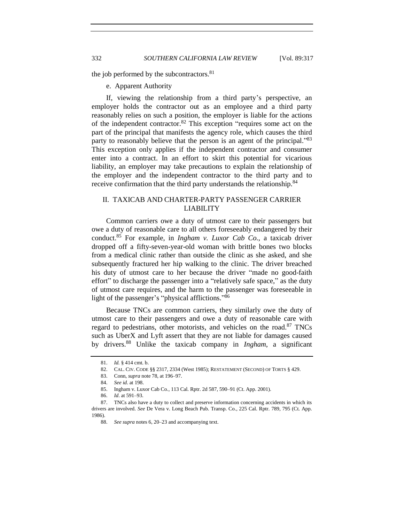the job performed by the subcontractors.<sup>81</sup>

e. Apparent Authority

If, viewing the relationship from a third party's perspective, an employer holds the contractor out as an employee and a third party reasonably relies on such a position, the employer is liable for the actions of the independent contractor.<sup>82</sup> This exception "requires some act on the part of the principal that manifests the agency role, which causes the third party to reasonably believe that the person is an agent of the principal."<sup>83</sup> This exception only applies if the independent contractor and consumer enter into a contract. In an effort to skirt this potential for vicarious liability, an employer may take precautions to explain the relationship of the employer and the independent contractor to the third party and to receive confirmation that the third party understands the relationship.<sup>84</sup>

# II. TAXICAB AND CHARTER-PARTY PASSENGER CARRIER LIABILITY

Common carriers owe a duty of utmost care to their passengers but owe a duty of reasonable care to all others foreseeably endangered by their conduct.<sup>85</sup> For example, in *Ingham v. Luxor Cab Co.*, a taxicab driver dropped off a fifty-seven-year-old woman with brittle bones two blocks from a medical clinic rather than outside the clinic as she asked, and she subsequently fractured her hip walking to the clinic. The driver breached his duty of utmost care to her because the driver "made no good-faith effort" to discharge the passenger into a "relatively safe space," as the duty of utmost care requires, and the harm to the passenger was foreseeable in light of the passenger's "physical afflictions." 86

Because TNCs are common carriers, they similarly owe the duty of utmost care to their passengers and owe a duty of reasonable care with regard to pedestrians, other motorists, and vehicles on the road.<sup>87</sup> TNCs such as UberX and Lyft assert that they are not liable for damages caused by drivers.<sup>88</sup> Unlike the taxicab company in *Ingham*, a significant

<sup>81.</sup> *Id.* § 414 cmt. b.

<sup>82.</sup> CAL. CIV. CODE §§ 2317, 2334 (West 1985); RESTATEMENT (SECOND) OF TORTS § 429.

<sup>83.</sup> Conn, *supra* not[e 78,](#page-14-0) at 196–97.

<sup>84.</sup> *See id*. at 198.

<sup>85.</sup> Ingham v. Luxor Cab Co., 113 Cal. Rptr. 2d 587, 590–91 (Ct. App. 2001).

<sup>86.</sup> *Id*. at 591–93.

<sup>87.</sup> TNCs also have a duty to collect and preserve information concerning accidents in which its drivers are involved. *See* De Vera v. Long Beach Pub. Transp. Co., 225 Cal. Rptr. 789, 795 (Ct. App. 1986).

<sup>88.</sup> *See supra* note[s 6,](#page-1-0) [20](#page-4-0)[–23](#page-4-1) and accompanying text.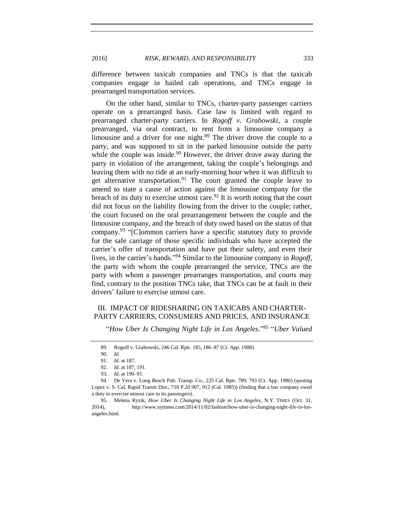difference between taxicab companies and TNCs is that the taxicab companies engage in hailed cab operations, and TNCs engage in prearranged transportation services.

On the other hand, similar to TNCs, charter-party passenger carriers operate on a prearranged basis. Case law is limited with regard to prearranged charter-party carriers. In *Rogoff v. Grabowski*, a couple prearranged, via oral contract, to rent from a limousine company a limousine and a driver for one night.<sup>89</sup> The driver drove the couple to a party, and was supposed to sit in the parked limousine outside the party while the couple was inside.<sup>90</sup> However, the driver drove away during the party in violation of the arrangement, taking the couple's belongings and leaving them with no ride at an early-morning hour when it was difficult to get alternative transportation.<sup>91</sup> The court granted the couple leave to amend to state a cause of action against the limousine company for the breach of its duty to exercise utmost care.<sup>92</sup> It is worth noting that the court did not focus on the liability flowing from the driver to the couple; rather, the court focused on the oral prearrangement between the couple and the limousine company, and the breach of duty owed based on the status of that company.<sup>93</sup> "[C]ommon carriers have a specific statutory duty to provide for the safe carriage of those specific individuals who have accepted the carrier's offer of transportation and have put their safety, and even their lives, in the carrier's hands." <sup>94</sup> Similar to the limousine company in *Rogoff*, the party with whom the couple prearranged the service, TNCs are the party with whom a passenger prearranges transportation, and courts may find, contrary to the position TNCs take, that TNCs can be at fault in their drivers' failure to exercise utmost care.

# III. IMPACT OF RIDESHARING ON TAXICABS AND CHARTER-PARTY CARRIERS, CONSUMERS AND PRICES, AND INSURANCE

<span id="page-16-0"></span>"*How Uber Is Changing Night Life in Los Angeles*." 95 "*Uber Valued* 

<sup>89.</sup> Rogoff v. Grabowski, 246 Cal. Rptr. 185, 186–87 (Ct. App. 1988).

<sup>90.</sup> *Id*.

<sup>91.</sup> *Id*. at 187.

<sup>92.</sup> *Id*. at 187, 191.

<sup>93.</sup> *Id*. at 190–91.

<sup>94.</sup> De Vera v. Long Beach Pub. Transp. Co., 225 Cal. Rptr. 789, 793 (Ct. App. 1986) (quoting Lopez v. S. Cal. Rapid Transit Dist., 710 P.2d 907, 912 (Cal. 1985)) (finding that a bus company owed a duty to exercise utmost care to its passengers).

<sup>95.</sup> Melena Ryzik, *How Uber Is Changing Night Life in Los Angeles*, N.Y. TIMES (Oct. 31, 2014), http://www.nytimes.com/2014/11/02/fashion/how-uber-is-changing-night-life-in-losangeles.html.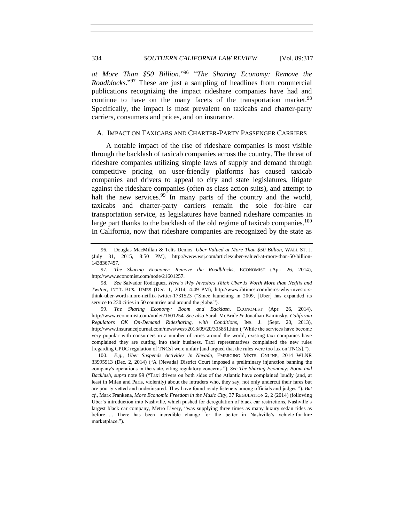<span id="page-17-2"></span><span id="page-17-1"></span>*at More Than \$50 Billion*." 96 "*The Sharing Economy: Remove the Roadblocks*." <sup>97</sup> These are just a sampling of headlines from commercial publications recognizing the impact rideshare companies have had and continue to have on the many facets of the transportation market.  $98$ Specifically, the impact is most prevalent on taxicabs and charter-party carriers, consumers and prices, and on insurance.

#### A. IMPACT ON TAXICABS AND CHARTER-PARTY PASSENGER CARRIERS

<span id="page-17-0"></span>A notable impact of the rise of rideshare companies is most visible through the backlash of taxicab companies across the country. The threat of rideshare companies utilizing simple laws of supply and demand through competitive pricing on user-friendly platforms has caused taxicab companies and drivers to appeal to city and state legislatures, litigate against the rideshare companies (often as class action suits), and attempt to halt the new services.<sup>99</sup> In many parts of the country and the world, taxicabs and charter-party carriers remain the sole for-hire car transportation service, as legislatures have banned rideshare companies in large part thanks to the backlash of the old regime of taxicab companies.<sup>100</sup> In California, now that rideshare companies are recognized by the state as

99. *The Sharing Economy: Boom and Backlash*, ECONOMIST (Apr. 26, 2014), http://www.economist.com/node/21601254. *See also* Sarah McBride & Jonathan Kaminsky, *California Regulators OK On-Demand Ridesharing, with Conditions*, INS. J. (Sept. 20, 2013), http://www.insurancejournal.com/news/west/2013/09/20/305851.htm ("While the services have become very popular with consumers in a number of cities around the world, existing taxi companies have complained they are cutting into their business. Taxi representatives complained the new rules [regarding CPUC regulation of TNCs] were unfair [and argued that the rules were too lax on TNCs].").

100. *E.g.*, *Uber Suspends Activities In Nevada*, EMERGING MKTS. ONLINE, 2014 WLNR 33995913 (Dec. 2, 2014) ("A [Nevada] District Court imposed a preliminary injunction banning the company's operations in the state, citing regulatory concerns."). *See The Sharing Economy: Boom and Backlash*, *supra* note [99](#page-17-0) ("Taxi drivers on both sides of the Atlantic have complained loudly (and, at least in Milan and Paris, violently) about the intruders who, they say, not only undercut their fares but are poorly vetted and underinsured. They have found ready listeners among officials and judges."). *But cf.*, Mark Frankena, *More Economic Freedom in the Music City*, 37 REGULATION 2, 2 (2014) (following Uber's introduction into Nashville, which pushed for deregulation of black car restrictions, Nashville's largest black car company, Metro Livery, "was supplying three times as many luxury sedan rides as before . . . . There has been incredible change for the better in Nashville's vehicle-for-hire marketplace.").

<sup>96.</sup> Douglas MacMillan & Telis Demos, *Uber Valued at More Than \$50 Billion*, WALL ST. J. (July 31, 2015, 8:50 PM), http://www.wsj.com/articles/uber-valued-at-more-than-50-billion-1438367457.

<sup>97.</sup> *The Sharing Economy: Remove the Roadblocks*, ECONOMIST (Apr. 26, 2014), http://www.economist.com/node/21601257.

<sup>98.</sup> *See* Salvador Rodriguez, *Here's Why Investors Think Uber Is Worth More than Netflix and Twitter*, INT'L BUS. TIMES (Dec. 1, 2014, 4:49 PM), http://www.ibtimes.com/heres-why-investorsthink-uber-worth-more-netflix-twitter-1731523 ("Since launching in 2009, [Uber] has expanded its service to 230 cities in 50 countries and around the globe.").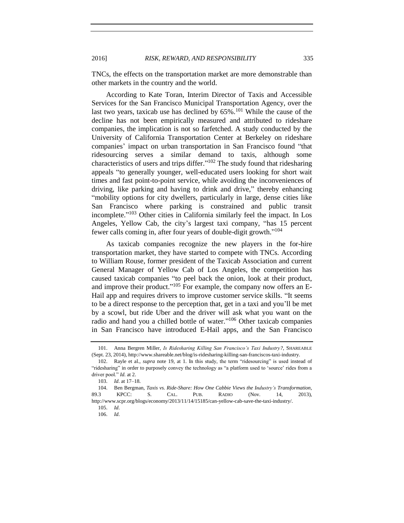TNCs, the effects on the transportation market are more demonstrable than other markets in the country and the world.

According to Kate Toran, Interim Director of Taxis and Accessible Services for the San Francisco Municipal Transportation Agency, over the last two years, taxicab use has declined by 65%.<sup>101</sup> While the cause of the decline has not been empirically measured and attributed to rideshare companies, the implication is not so farfetched. A study conducted by the University of California Transportation Center at Berkeley on rideshare companies' impact on urban transportation in San Francisco found "that ridesourcing serves a similar demand to taxis, although some characteristics of users and trips differ."<sup>102</sup> The study found that ridesharing appeals "to generally younger, well-educated users looking for short wait times and fast point-to-point service, while avoiding the inconveniences of driving, like parking and having to drink and drive," thereby enhancing "mobility options for city dwellers, particularly in large, dense cities like San Francisco where parking is constrained and public transit incomplete." <sup>103</sup> Other cities in California similarly feel the impact. In Los Angeles, Yellow Cab, the city's largest taxi company, "has 15 percent fewer calls coming in, after four years of double-digit growth."<sup>104</sup>

As taxicab companies recognize the new players in the for-hire transportation market, they have started to compete with TNCs. According to William Rouse, former president of the Taxicab Association and current General Manager of Yellow Cab of Los Angeles, the competition has caused taxicab companies "to peel back the onion, look at their product, and improve their product."<sup>105</sup> For example, the company now offers an E-Hail app and requires drivers to improve customer service skills. "It seems to be a direct response to the perception that, get in a taxi and you'll be met by a scowl, but ride Uber and the driver will ask what you want on the radio and hand you a chilled bottle of water." <sup>106</sup> Other taxicab companies in San Francisco have introduced E-Hail apps, and the San Francisco

<span id="page-18-1"></span><span id="page-18-0"></span>

<sup>101.</sup> Anna Bergren Miller, *Is Ridesharing Killing San Francisco's Taxi Industry?*, SHAREABLE (Sept. 23, 2014), http://www.shareable.net/blog/is-ridesharing-killing-san-franciscos-taxi-industry.

<sup>102.</sup> Rayle et al., *supra* note [19,](#page-4-2) at 1. In this study, the term "ridesourcing" is used instead of "ridesharing" in order to purposely convey the technology as "a platform used to 'source' rides from a driver pool." *Id.* at 2.

<sup>103.</sup> *Id*. at 17–18.

<sup>104.</sup> Ben Bergman, *Taxis vs. Ride-Share: How One Cabbie Views the Industry's Transformation*, 89.3 KPCC: S. CAL. PUB. RADIO (Nov. 14, 2013), http://www.scpr.org/blogs/economy/2013/11/14/15185/can-yellow-cab-save-the-taxi-industry/.

<sup>105.</sup> *Id*.

<sup>106.</sup> *Id*.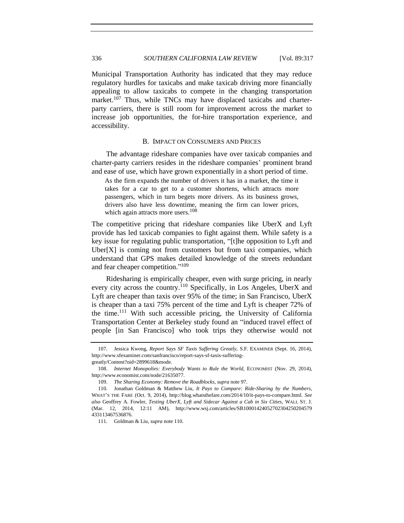336 *SOUTHERN CALIFORNIA LAW REVIEW* [Vol. 89:317

Municipal Transportation Authority has indicated that they may reduce regulatory hurdles for taxicabs and make taxicab driving more financially appealing to allow taxicabs to compete in the changing transportation market.<sup>107</sup> Thus, while TNCs may have displaced taxicabs and charterparty carriers, there is still room for improvement across the market to increase job opportunities, the for-hire transportation experience, and accessibility.

#### B. IMPACT ON CONSUMERS AND PRICES

The advantage rideshare companies have over taxicab companies and charter-party carriers resides in the rideshare companies' prominent brand and ease of use, which have grown exponentially in a short period of time.

As the firm expands the number of drivers it has in a market, the time it takes for a car to get to a customer shortens, which attracts more passengers, which in turn begets more drivers. As its business grows, drivers also have less downtime, meaning the firm can lower prices, which again attracts more users.<sup>108</sup>

The competitive pricing that rideshare companies like UberX and Lyft provide has led taxicab companies to fight against them. While safety is a key issue for regulating public transportation, "[t]he opposition to Lyft and Uber $[X]$  is coming not from customers but from taxi companies, which understand that GPS makes detailed knowledge of the streets redundant and fear cheaper competition." 109

<span id="page-19-0"></span>Ridesharing is empirically cheaper, even with surge pricing, in nearly every city across the country.<sup>110</sup> Specifically, in Los Angeles, UberX and Lyft are cheaper than taxis over 95% of the time; in San Francisco, UberX is cheaper than a taxi 75% percent of the time and Lyft is cheaper 72% of the time.<sup>111</sup> With such accessible pricing, the University of California Transportation Center at Berkeley study found an "induced travel effect of people [in San Francisco] who took trips they otherwise would not

<sup>107.</sup> Jessica Kwong, *Report Says SF Taxis Suffering Greatly*, S.F. EXAMINER (Sept. 16, 2014), http://www.sfexaminer.com/sanfrancisco/report-says-sf-taxis-sufferinggreatly/Content?oid=2899618&mode.

<sup>108.</sup> *Internet Monopolies: Everybody Wants to Rule the World*, ECONOMIST (Nov. 29, 2014), http://www.economist.com/node/21635077.

<sup>109.</sup> *The Sharing Economy: Remove the Roadblocks*, *supra* not[e 97.](#page-17-1)

<sup>110.</sup> Jonathan Goldman & Matthew Liu, *It Pays to Compare: Ride-Sharing by the Numbers,*  WHAT'S THE FARE (Oct. 9, 2014), http://blog.whatsthefare.com/2014/10/it-pays-to-compare.html. *See also* Geoffrey A. Fowler, *Testing UberX, Lyft and Sidecar Against a Cab in Six Cities*, WALL ST. J. (Mar. 12, 2014, 12:11 AM), http://www.wsj.com/articles/SB10001424052702304250204579 433113467536876.

<sup>111.</sup> Goldman & Liu, *supra* not[e 110.](#page-19-0)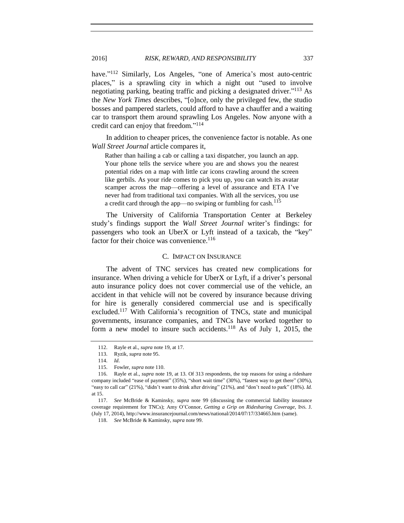have."<sup>112</sup> Similarly, Los Angeles, "one of America's most auto-centric places," is a sprawling city in which a night out "used to involve negotiating parking, beating traffic and picking a designated driver." <sup>113</sup> As the *New York Times* describes, "[o]nce, only the privileged few, the studio bosses and pampered starlets, could afford to have a chauffer and a waiting car to transport them around sprawling Los Angeles. Now anyone with a credit card can enjoy that freedom." 114

In addition to cheaper prices, the convenience factor is notable. As one *Wall Street Journal* article compares it,

Rather than hailing a cab or calling a taxi dispatcher, you launch an app. Your phone tells the service where you are and shows you the nearest potential rides on a map with little car icons crawling around the screen like gerbils. As your ride comes to pick you up, you can watch its avatar scamper across the map—offering a level of assurance and ETA I've never had from traditional taxi companies. With all the services, you use a credit card through the app—no swiping or fumbling for cash.<sup>115</sup>

The University of California Transportation Center at Berkeley study's findings support the *Wall Street Journal* writer's findings: for passengers who took an UberX or Lyft instead of a taxicab, the "key" factor for their choice was convenience.<sup>116</sup>

#### C. IMPACT ON INSURANCE

The advent of TNC services has created new complications for insurance. When driving a vehicle for UberX or Lyft, if a driver's personal auto insurance policy does not cover commercial use of the vehicle, an accident in that vehicle will not be covered by insurance because driving for hire is generally considered commercial use and is specifically excluded.<sup>117</sup> With California's recognition of TNCs, state and municipal governments, insurance companies, and TNCs have worked together to form a new model to insure such accidents.<sup>118</sup> As of July 1, 2015, the

<sup>112.</sup> Rayle et al., *supra* not[e 19,](#page-4-2) at 17.

<sup>113.</sup> Ryzik, *supra* not[e 95.](#page-16-0)

<sup>114.</sup> *Id*.

<sup>115.</sup> Fowler, *supra* not[e 110.](#page-19-0) 

<sup>116.</sup> Rayle et al., *supra* note [19,](#page-4-2) at 13. Of 313 respondents, the top reasons for using a rideshare company included "ease of payment" (35%), "short wait time" (30%), "fastest way to get there" (30%), "easy to call car" (21%), "didn't want to drink after driving" (21%), and "don't need to park" (18%). *Id.* at 15.

<sup>117.</sup> *See* McBride & Kaminsky, *supra* note [99](#page-17-0) (discussing the commercial liability insurance coverage requirement for TNCs); Amy O'Connor, *Getting a Grip on Ridesharing Coverage*, INS. J. (July 17, 2014), http://www.insurancejournal.com/news/national/2014/07/17/334665.htm (same).

<sup>118.</sup> *See* McBride & Kaminsky, *supra* not[e 99.](#page-17-0)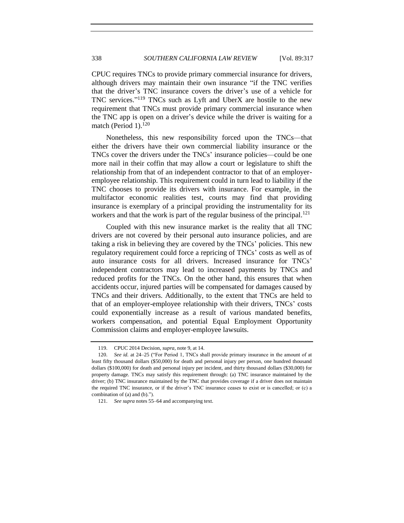CPUC requires TNCs to provide primary commercial insurance for drivers, although drivers may maintain their own insurance "if the TNC verifies that the driver's TNC insurance covers the driver's use of a vehicle for TNC services."<sup>119</sup> TNCs such as Lyft and UberX are hostile to the new requirement that TNCs must provide primary commercial insurance when the TNC app is open on a driver's device while the driver is waiting for a match (Period 1). $120$ 

Nonetheless, this new responsibility forced upon the TNCs—that either the drivers have their own commercial liability insurance or the TNCs cover the drivers under the TNCs' insurance policies—could be one more nail in their coffin that may allow a court or legislature to shift the relationship from that of an independent contractor to that of an employeremployee relationship. This requirement could in turn lead to liability if the TNC chooses to provide its drivers with insurance. For example, in the multifactor economic realities test, courts may find that providing insurance is exemplary of a principal providing the instrumentality for its workers and that the work is part of the regular business of the principal.<sup>121</sup>

Coupled with this new insurance market is the reality that all TNC drivers are not covered by their personal auto insurance policies, and are taking a risk in believing they are covered by the TNCs' policies. This new regulatory requirement could force a repricing of TNCs' costs as well as of auto insurance costs for all drivers. Increased insurance for TNCs' independent contractors may lead to increased payments by TNCs and reduced profits for the TNCs. On the other hand, this ensures that when accidents occur, injured parties will be compensated for damages caused by TNCs and their drivers. Additionally, to the extent that TNCs are held to that of an employer-employee relationship with their drivers, TNCs' costs could exponentially increase as a result of various mandated benefits, workers compensation, and potential Equal Employment Opportunity Commission claims and employer-employee lawsuits.

<sup>119.</sup> CPUC 2014 Decision, *supra*, not[e 9,](#page-2-0) at 14.

<sup>120.</sup> *See id.* at 24–25 ("For Period 1, TNCs shall provide primary insurance in the amount of at least fifty thousand dollars (\$50,000) for death and personal injury per person, one hundred thousand dollars (\$100,000) for death and personal injury per incident, and thirty thousand dollars (\$30,000) for property damage. TNCs may satisfy this requirement through: (a) TNC insurance maintained by the driver; (b) TNC insurance maintained by the TNC that provides coverage if a driver does not maintain the required TNC insurance, or if the driver's TNC insurance ceases to exist or is cancelled; or (c) a combination of (a) and (b).").

<sup>121.</sup> *See supra* notes [55](#page-10-0)[–64](#page-12-0) and accompanying text.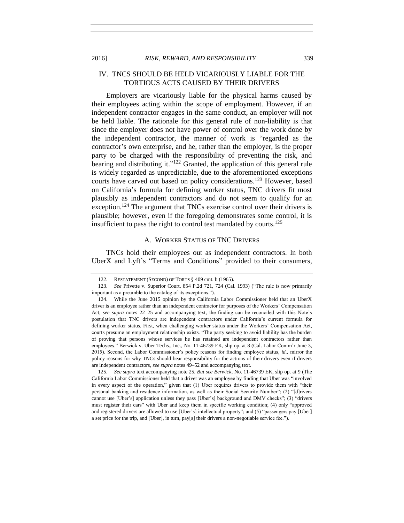2016] *RISK, REWARD, AND RESPONSIBILITY* 339

# IV. TNCS SHOULD BE HELD VICARIOUSLY LIABLE FOR THE TORTIOUS ACTS CAUSED BY THEIR DRIVERS

Employers are vicariously liable for the physical harms caused by their employees acting within the scope of employment. However, if an independent contractor engages in the same conduct, an employer will not be held liable. The rationale for this general rule of non-liability is that since the employer does not have power of control over the work done by the independent contractor, the manner of work is "regarded as the contractor's own enterprise, and he, rather than the employer, is the proper party to be charged with the responsibility of preventing the risk, and bearing and distributing it."<sup>122</sup> Granted, the application of this general rule is widely regarded as unpredictable, due to the aforementioned exceptions courts have carved out based on policy considerations.<sup>123</sup> However, based on California's formula for defining worker status, TNC drivers fit most plausibly as independent contractors and do not seem to qualify for an exception.<sup>124</sup> The argument that TNCs exercise control over their drivers is plausible; however, even if the foregoing demonstrates some control, it is insufficient to pass the right to control test mandated by courts.<sup>125</sup>

#### A. WORKER STATUS OF TNC DRIVERS

TNCs hold their employees out as independent contractors. In both UberX and Lyft's "Terms and Conditions" provided to their consumers,

<sup>122.</sup> RESTATEMENT (SECOND) OF TORTS § 409 cmt. b (1965).

<sup>123.</sup> *See* Privette v. Superior Court, 854 P.2d 721, 724 (Cal. 1993) ("The rule is now primarily important as a preamble to the catalog of its exceptions.").

<sup>124.</sup> While the June 2015 opinion by the California Labor Commissioner held that an UberX driver is an employee rather than an independent contractor for purposes of the Workers' Compensation Act, *see supra* notes [22](#page-4-3)[–25](#page-5-0) and accompanying text, the finding can be reconciled with this Note's postulation that TNC drivers are independent contractors under California's current formula for defining worker status. First, when challenging worker status under the Workers' Compensation Act, courts presume an employment relationship exists. "The party seeking to avoid liability has the burden of proving that persons whose services he has retained are independent contractors rather than employees." Berwick v. Uber Techs., Inc., No. 11-46739 EK, slip op. at 8 (Cal. Labor Comm'r June 3, 2015). Second, the Labor Commissioner's policy reasons for finding employee status, *id.*, mirror the policy reasons for why TNCs should bear responsibility for the actions of their drivers even if drivers are independent contractors, *see supra* note[s 49](#page-9-2)[–52](#page-10-1) and accompanying text.

<sup>125.</sup> *See supra* text accompanying not[e 25.](#page-5-0) *But see Berwick*, No. 11-46739 EK, slip op. at 9 (The California Labor Commissioner held that a driver was an employee by finding that Uber was "involved in every aspect of the operation," given that (1) Uber requires drivers to provide them with "their personal banking and residence information, as well as their Social Security Number"; (2) "[d]rivers cannot use [Uber's] application unless they pass [Uber's] background and DMV checks"; (3) "drivers must register their cars" with Uber and keep them in specific working condition; (4) only "approved and registered drivers are allowed to use [Uber's] intellectual property"; and (5) "passengers pay [Uber] a set price for the trip, and [Uber], in turn, pay[s] their drivers a non-negotiable service fee.").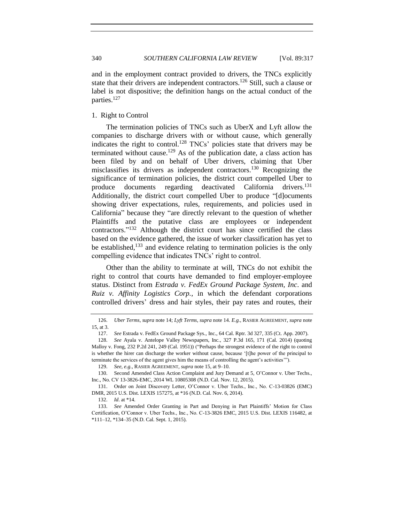and in the employment contract provided to drivers, the TNCs explicitly state that their drivers are independent contractors.<sup>126</sup> Still, such a clause or label is not dispositive; the definition hangs on the actual conduct of the parties.<sup>127</sup>

1. Right to Control

The termination policies of TNCs such as UberX and Lyft allow the companies to discharge drivers with or without cause, which generally indicates the right to control.<sup>128</sup> TNCs' policies state that drivers may be terminated without cause.<sup>129</sup> As of the publication date, a class action has been filed by and on behalf of Uber drivers, claiming that Uber misclassifies its drivers as independent contractors.<sup>130</sup> Recognizing the significance of termination policies, the district court compelled Uber to produce documents regarding deactivated California drivers.<sup>131</sup> Additionally, the district court compelled Uber to produce "[d]ocuments showing driver expectations, rules, requirements, and policies used in California" because they "are directly relevant to the question of whether Plaintiffs and the putative class are employees or independent contractors." <sup>132</sup> Although the district court has since certified the class based on the evidence gathered, the issue of worker classification has yet to be established,<sup>133</sup> and evidence relating to termination policies is the only compelling evidence that indicates TNCs' right to control.

Other than the ability to terminate at will, TNCs do not exhibit the right to control that courts have demanded to find employer-employee status. Distinct from *Estrada v. FedEx Ground Package System, Inc*. and *Ruiz v. Affinity Logistics Corp.*, in which the defendant corporations controlled drivers' dress and hair styles, their pay rates and routes, their

<sup>126.</sup> *Uber Terms*, *supra* note [14;](#page-3-0) *Lyft Terms*, *supra* note 14. *E.g.*, RASIER AGREEMENT*, supra* note [15,](#page-3-1) at 3.

<sup>127.</sup> *See* Estrada v. FedEx Ground Package Sys., Inc., 64 Cal. Rptr. 3d 327, 335 (Ct. App. 2007).

<sup>128.</sup> *See* Ayala v. Antelope Valley Newspapers, Inc., 327 P.3d 165, 171 (Cal. 2014) (quoting Malloy v. Fong, 232 P.2d 241, 249 (Cal. 1951)) ("Perhaps the strongest evidence of the right to control is whether the hirer can discharge the worker without cause, because '[t]he power of the principal to terminate the services of the agent gives him the means of controlling the agent's activities'").

<sup>129.</sup> *See, e.g.*, RASIER AGREEMENT, *supra* not[e 15,](#page-3-1) at 9–10.

<sup>130.</sup> Second Amended Class Action Complaint and Jury Demand at 5, O'Connor v. Uber Techs., Inc., No. CV 13-3826-EMC, 2014 WL 10805308 (N.D. Cal. Nov. 12, 2015).

<sup>131.</sup> Order on Joint Discovery Letter, O'Connor v. Uber Techs., Inc., No. C-13-03826 (EMC) DMR, 2015 U.S. Dist. LEXIS 157275, at \*16 (N.D. Cal. Nov. 6, 2014).

<sup>132.</sup> *Id*. at \*14.

<sup>133.</sup> *See* Amended Order Granting in Part and Denying in Part Plaintiffs' Motion for Class Certification, O'Connor v. Uber Techs., Inc., No. C-13-3826 EMC, 2015 U.S. Dist. LEXIS 116482, at \*111–12, \*134–35 (N.D. Cal. Sept. 1, 2015).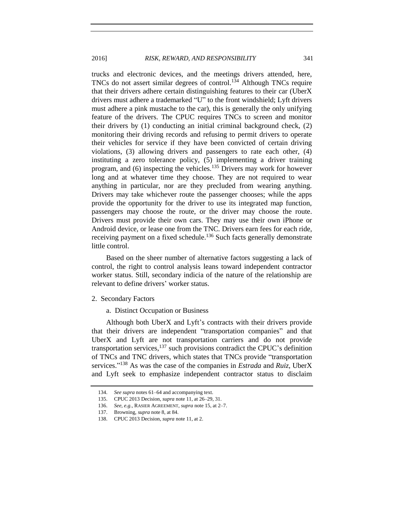trucks and electronic devices, and the meetings drivers attended, here, TNCs do not assert similar degrees of control.<sup>134</sup> Although TNCs require that their drivers adhere certain distinguishing features to their car (UberX drivers must adhere a trademarked "U" to the front windshield; Lyft drivers must adhere a pink mustache to the car), this is generally the only unifying feature of the drivers. The CPUC requires TNCs to screen and monitor their drivers by  $(1)$  conducting an initial criminal background check,  $(2)$ monitoring their driving records and refusing to permit drivers to operate their vehicles for service if they have been convicted of certain driving violations, (3) allowing drivers and passengers to rate each other, (4) instituting a zero tolerance policy, (5) implementing a driver training program, and  $(6)$  inspecting the vehicles.<sup>135</sup> Drivers may work for however long and at whatever time they choose. They are not required to wear anything in particular, nor are they precluded from wearing anything. Drivers may take whichever route the passenger chooses; while the apps provide the opportunity for the driver to use its integrated map function, passengers may choose the route, or the driver may choose the route. Drivers must provide their own cars. They may use their own iPhone or Android device, or lease one from the TNC. Drivers earn fees for each ride, receiving payment on a fixed schedule.<sup>136</sup> Such facts generally demonstrate little control.

Based on the sheer number of alternative factors suggesting a lack of control, the right to control analysis leans toward independent contractor worker status. Still, secondary indicia of the nature of the relationship are relevant to define drivers' worker status.

- 2. Secondary Factors
	- a. Distinct Occupation or Business

Although both UberX and Lyft's contracts with their drivers provide that their drivers are independent "transportation companies" and that UberX and Lyft are not transportation carriers and do not provide transportation services, $137$  such provisions contradict the CPUC's definition of TNCs and TNC drivers, which states that TNCs provide "transportation services." <sup>138</sup> As was the case of the companies in *Estrada* and *Ruiz*, UberX and Lyft seek to emphasize independent contractor status to disclaim

<sup>134.</sup> *See supra* note[s 61](#page-12-1)[–64](#page-12-0) and accompanying text.

<sup>135.</sup> CPUC 2013 Decision, *supra* not[e 11,](#page-2-1) at 26–29, 31.

<sup>136.</sup> *See, e.g.*, RASIER AGREEMENT, *supra* not[e 15,](#page-3-1) at 2–7.

<sup>137.</sup> Browning, *supra* not[e 8,](#page-2-2) at 84.

<sup>138.</sup> CPUC 2013 Decision, *supra* not[e 11,](#page-2-1) at 2.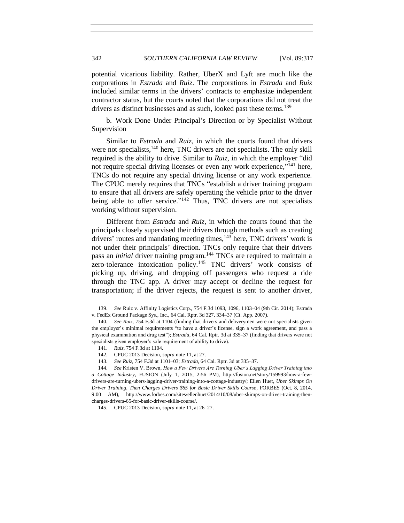potential vicarious liability. Rather, UberX and Lyft are much like the corporations in *Estrada* and *Ruiz*. The corporations in *Estrada* and *Ruiz* included similar terms in the drivers' contracts to emphasize independent contractor status, but the courts noted that the corporations did not treat the drivers as distinct businesses and as such, looked past these terms.<sup>139</sup>

b. Work Done Under Principal's Direction or by Specialist Without Supervision

Similar to *Estrada* and *Ruiz*, in which the courts found that drivers were not specialists,<sup>140</sup> here, TNC drivers are not specialists. The only skill required is the ability to drive. Similar to *Ruiz,* in which the employer "did not require special driving licenses or even any work experience,"<sup>141</sup> here, TNCs do not require any special driving license or any work experience. The CPUC merely requires that TNCs "establish a driver training program to ensure that all drivers are safely operating the vehicle prior to the driver being able to offer service."<sup>142</sup> Thus, TNC drivers are not specialists working without supervision.

Different from *Estrada* and *Ruiz*, in which the courts found that the principals closely supervised their drivers through methods such as creating drivers' routes and mandating meeting times,  $^{143}$  here, TNC drivers' work is not under their principals' direction. TNCs only require that their drivers pass an *initial* driver training program.<sup>144</sup> TNCs are required to maintain a zero-tolerance intoxication policy.<sup>145</sup> TNC drivers' work consists of picking up, driving, and dropping off passengers who request a ride through the TNC app. A driver may accept or decline the request for transportation; if the driver rejects, the request is sent to another driver,

<sup>139.</sup> *See* Ruiz v. Affinity Logistics Corp., 754 F.3d 1093, 1096, 1103–04 (9th Cir. 2014); Estrada v. FedEx Ground Package Sys., Inc., 64 Cal. Rptr. 3d 327, 334–37 (Ct. App. 2007).

<sup>140.</sup> *See Ruiz*, 754 F.3d at 1104 (finding that drivers and deliverymen were not specialists given the employer's minimal requirements "to have a driver's license, sign a work agreement, and pass a physical examination and drug test"); *Estrada*, 64 Cal. Rptr. 3d at 335–37 (finding that drivers were not specialists given employer's sole requirement of ability to drive).

<sup>141.</sup> *Ruiz*, 754 F.3d at 1104.

<sup>142.</sup> CPUC 2013 Decision, *supra* not[e 11,](#page-2-1) at 27.

<sup>143.</sup> *See Ruiz*, 754 F.3d at 1101–03; *Estrada*, 64 Cal. Rptr. 3d at 335–37.

<sup>144.</sup> *See* Kristen V. Brown, *How a Few Drivers Are Turning Uber's Lagging Driver Training into a Cottage Industry*, FUSION (July 1, 2015, 2:56 PM), http://fusion.net/story/159993/how-a-fewdrivers-are-turning-ubers-lagging-driver-training-into-a-cottage-industry/; Ellen Huet, *Uber Skimps On Driver Training, Then Charges Drivers \$65 for Basic Driver Skills Course*, FORBES (Oct. 8, 2014, 9:00 AM), http://www.forbes.com/sites/ellenhuet/2014/10/08/uber-skimps-on-driver-training-thencharges-drivers-65-for-basic-driver-skills-course/.

<sup>145.</sup> CPUC 2013 Decision, *supra* not[e 11,](#page-2-1) at 26–27.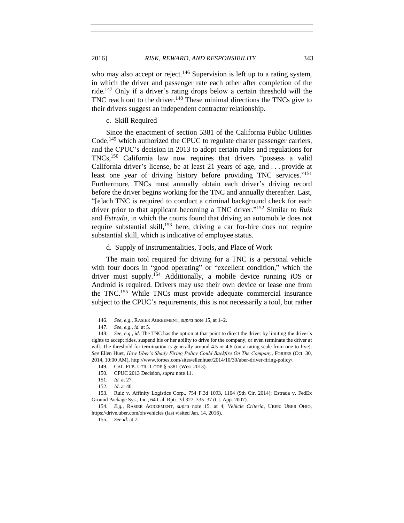who may also accept or reject.<sup>146</sup> Supervision is left up to a rating system, in which the driver and passenger rate each other after completion of the ride.<sup>147</sup> Only if a driver's rating drops below a certain threshold will the TNC reach out to the driver.<sup>148</sup> These minimal directions the TNCs give to their drivers suggest an independent contractor relationship.

#### <span id="page-26-0"></span>c. Skill Required

Since the enactment of section 5381 of the California Public Utilities Code,<sup>149</sup> which authorized the CPUC to regulate charter passenger carriers, and the CPUC's decision in 2013 to adopt certain rules and regulations for TNCs, <sup>150</sup> California law now requires that drivers "possess a valid California driver's license, be at least 21 years of age, and . . . provide at least one year of driving history before providing TNC services."<sup>151</sup> Furthermore, TNCs must annually obtain each driver's driving record before the driver begins working for the TNC and annually thereafter. Last, "[e]ach TNC is required to conduct a criminal background check for each driver prior to that applicant becoming a TNC driver." <sup>152</sup> Similar to *Ruiz* and *Estrada*, in which the courts found that driving an automobile does not require substantial skill,<sup>153</sup> here, driving a car for-hire does not require substantial skill, which is indicative of employee status.

#### d. Supply of Instrumentalities, Tools, and Place of Work

The main tool required for driving for a TNC is a personal vehicle with four doors in "good operating" or "excellent condition," which the driver must supply.<sup>154</sup> Additionally, a mobile device running iOS or Android is required. Drivers may use their own device or lease one from the TNC.<sup>155</sup> While TNCs must provide adequate commercial insurance subject to the CPUC's requirements, this is not necessarily a tool, but rather

<sup>146.</sup> *See, e.g.*, RASIER AGREEMENT, *supra* not[e 15,](#page-3-1) at 1–2.

<sup>147.</sup> *See, e.g.*, *id.* at 5.

<sup>148.</sup> *See, e.g.*, *id.* The TNC has the option at that point to direct the driver by limiting the driver's rights to accept rides, suspend his or her ability to drive for the company, or even terminate the driver at will. The threshold for termination is generally around 4.5 or 4.6 (on a rating scale from one to five). *See* Ellen Huet, *How Uber's Shady Firing Policy Could Backfire On The Company*, FORBES (Oct. 30, 2014, 10:00 AM), http://www.forbes.com/sites/ellenhuet/2014/10/30/uber-driver-firing-policy/.

<sup>149.</sup> CAL. PUB. UTIL. CODE § 5381 (West 2013).

<sup>150.</sup> CPUC 2013 Decision, *supra* not[e 11.](#page-2-1)

<sup>151.</sup> *Id.* at 27.

<sup>152.</sup> *Id*. at 40.

<sup>153.</sup> Ruiz v. Affinity Logistics Corp., 754 F.3d 1093, 1104 (9th Cir. 2014); Estrada v. FedEx Ground Package Sys., Inc., 64 Cal. Rptr. 3d 327, 335–37 (Ct. App. 2007).

<sup>154.</sup> *E.g.,* RASIER AGREEMENT, *supra* note [15,](#page-3-1) at 4; *Vehicle Criteria*, UBER: UBER OHIO, https://drive.uber.com/oh/vehicles (last visited Jan. 14, 2016).

<sup>155.</sup> *See id.* at 7.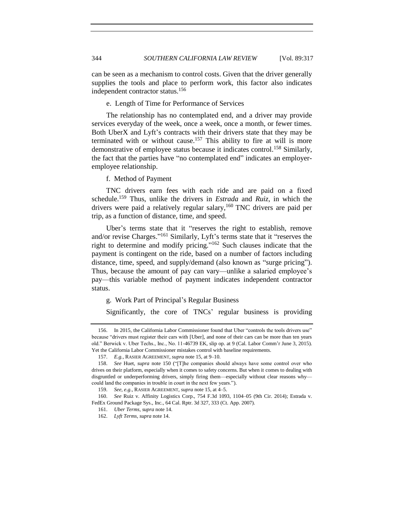can be seen as a mechanism to control costs. Given that the driver generally supplies the tools and place to perform work, this factor also indicates independent contractor status.<sup>156</sup>

#### e. Length of Time for Performance of Services

The relationship has no contemplated end, and a driver may provide services everyday of the week, once a week, once a month, or fewer times. Both UberX and Lyft's contracts with their drivers state that they may be terminated with or without cause.<sup>157</sup> This ability to fire at will is more demonstrative of employee status because it indicates control.<sup>158</sup> Similarly, the fact that the parties have "no contemplated end" indicates an employeremployee relationship.

f. Method of Payment

TNC drivers earn fees with each ride and are paid on a fixed schedule. <sup>159</sup> Thus, unlike the drivers in *Estrada* and *Ruiz*, in which the drivers were paid a relatively regular salary,<sup>160</sup> TNC drivers are paid per trip, as a function of distance, time, and speed.

Uber's terms state that it "reserves the right to establish, remove and/or revise Charges."<sup>161</sup> Similarly, Lyft's terms state that it "reserves the right to determine and modify pricing." <sup>162</sup> Such clauses indicate that the payment is contingent on the ride, based on a number of factors including distance, time, speed, and supply/demand (also known as "surge pricing"). Thus, because the amount of pay can vary—unlike a salaried employee's pay—this variable method of payment indicates independent contractor status.

g. Work Part of Principal's Regular Business

Significantly, the core of TNCs' regular business is providing

<sup>156.</sup> In 2015, the California Labor Commissioner found that Uber "controls the tools drivers use" because "drivers must register their cars with [Uber], and none of their cars can be more than ten years old." Berwick v. Uber Techs., Inc., No. 11-46739 EK, slip op. at 9 (Cal. Labor Comm'r June 3, 2015). Yet the California Labor Commissioner mistakes control with baseline requirements.

<sup>157.</sup> *E.g.*, RASIER AGREEMENT, *supra* note [15,](#page-3-1) at 9–10.

<sup>158.</sup> *See* Huet*, supra* note [150](#page-26-0) ("[T]he companies should always have some control over who drives on their platform, especially when it comes to safety concerns. But when it comes to dealing with disgruntled or underperforming drivers, simply firing them—especially without clear reasons why could land the companies in trouble in court in the next few years.").

<sup>159.</sup> *See, e.g.*, RASIER AGREEMENT, *supra* not[e 15,](#page-3-1) at 4–5.

<sup>160.</sup> *See* Ruiz v. Affinity Logistics Corp., 754 F.3d 1093, 1104–05 (9th Cir. 2014); Estrada v. FedEx Ground Package Sys., Inc., 64 Cal. Rptr. 3d 327, 333 (Ct. App. 2007).

<sup>161.</sup> *Uber Terms*, *supra* not[e 14.](#page-3-0)

<sup>162.</sup> *Lyft Terms*, *supra* not[e 14.](#page-3-0)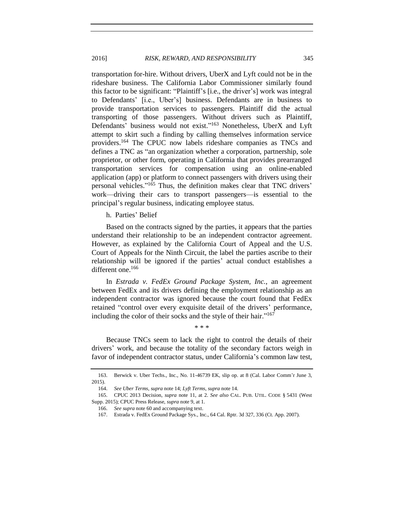transportation for-hire. Without drivers, UberX and Lyft could not be in the rideshare business. The California Labor Commissioner similarly found this factor to be significant: "Plaintiff's [i.e., the driver's] work was integral to Defendants' [i.e., Uber's] business. Defendants are in business to provide transportation services to passengers. Plaintiff did the actual transporting of those passengers. Without drivers such as Plaintiff, Defendants' business would not exist."<sup>163</sup> Nonetheless, UberX and Lyft attempt to skirt such a finding by calling themselves information service providers.<sup>164</sup> The CPUC now labels rideshare companies as TNCs and defines a TNC as "an organization whether a corporation, partnership, sole proprietor, or other form, operating in California that provides prearranged transportation services for compensation using an online-enabled application (app) or platform to connect passengers with drivers using their personal vehicles." <sup>165</sup> Thus, the definition makes clear that TNC drivers' work—driving their cars to transport passengers—is essential to the principal's regular business, indicating employee status.

h. Parties' Belief

Based on the contracts signed by the parties, it appears that the parties understand their relationship to be an independent contractor agreement. However, as explained by the California Court of Appeal and the U.S. Court of Appeals for the Ninth Circuit, the label the parties ascribe to their relationship will be ignored if the parties' actual conduct establishes a different one.<sup>166</sup>

In *Estrada v. FedEx Ground Package System, Inc.*, an agreement between FedEx and its drivers defining the employment relationship as an independent contractor was ignored because the court found that FedEx retained "control over every exquisite detail of the drivers' performance, including the color of their socks and the style of their hair."<sup>167</sup>

Because TNCs seem to lack the right to control the details of their drivers' work, and because the totality of the secondary factors weigh in favor of independent contractor status, under California's common law test,

\* \* \*

<sup>163.</sup> Berwick v. Uber Techs., Inc., No. 11-46739 EK, slip op. at 8 (Cal. Labor Comm'r June 3, 2015).

<sup>164.</sup> *See Uber Terms*, *supra* not[e 14;](#page-3-0) *Lyft Terms*, *supra* not[e 14.](#page-3-0)

<sup>165.</sup> CPUC 2013 Decision, *supra* note [11,](#page-2-1) at 2. *See also* CAL. PUB. UTIL. CODE § 5431 (West Supp. 2015); CPUC Press Release, *supra* not[e 9,](#page-2-0) at 1.

<sup>166.</sup> *See supra* not[e 60](#page-11-0) and accompanying text.

<sup>167.</sup> Estrada v. FedEx Ground Package Sys., Inc., 64 Cal. Rptr. 3d 327, 336 (Ct. App. 2007).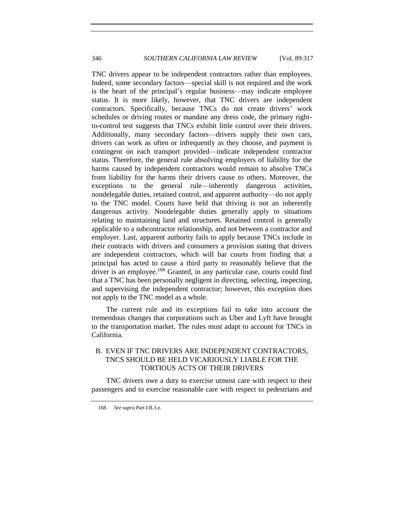TNC drivers appear to be independent contractors rather than employees. Indeed, some secondary factors—special skill is not required and the work is the heart of the principal's regular business—may indicate employee status. It is more likely, however, that TNC drivers are independent contractors. Specifically, because TNCs do not create drivers' work schedules or driving routes or mandate any dress code, the primary rightto-control test suggests that TNCs exhibit little control over their drivers. Additionally, many secondary factors—drivers supply their own cars, drivers can work as often or infrequently as they choose, and payment is contingent on each transport provided—indicate independent contractor status. Therefore, the general rule absolving employers of liability for the harms caused by independent contractors would remain to absolve TNCs from liability for the harms their drivers cause to others. Moreover, the exceptions to the general rule—inherently dangerous activities, nondelegable duties, retained control, and apparent authority—do not apply to the TNC model. Courts have held that driving is not an inherently dangerous activity. Nondelegable duties generally apply to situations relating to maintaining land and structures. Retained control is generally applicable to a subcontractor relationship, and not between a contractor and employer. Last, apparent authority fails to apply because TNCs include in their contracts with drivers and consumers a provision stating that drivers are independent contractors, which will bar courts from finding that a principal has acted to cause a third party to reasonably believe that the driver is an employee.<sup>168</sup> Granted, in any particular case, courts could find that a TNC has been personally negligent in directing, selecting, inspecting, and supervising the independent contractor; however, this exception does not apply to the TNC model as a whole.

The current rule and its exceptions fail to take into account the tremendous changes that corporations such as Uber and Lyft have brought to the transportation market. The rules must adapt to account for TNCs in California.

# B. EVEN IF TNC DRIVERS ARE INDEPENDENT CONTRACTORS, TNCS SHOULD BE HELD VICARIOUSLY LIABLE FOR THE TORTIOUS ACTS OF THEIR DRIVERS

TNC drivers owe a duty to exercise utmost care with respect to their passengers and to exercise reasonable care with respect to pedestrians and

<sup>168.</sup> *See supra* Part I.B.3.e.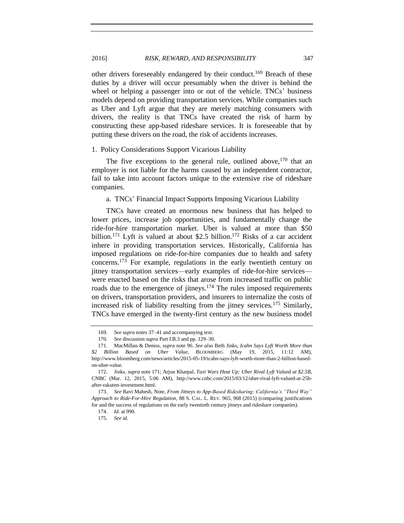### 2016] *RISK, REWARD, AND RESPONSIBILITY* 347

other drivers foreseeably endangered by their conduct.<sup>169</sup> Breach of these duties by a driver will occur presumably when the driver is behind the wheel or helping a passenger into or out of the vehicle. TNCs' business models depend on providing transportation services. While companies such as Uber and Lyft argue that they are merely matching consumers with drivers, the reality is that TNCs have created the risk of harm by constructing these app-based rideshare services. It is foreseeable that by putting these drivers on the road, the risk of accidents increases.

#### 1. Policy Considerations Support Vicarious Liability

The five exceptions to the general rule, outlined above,  $170$  that an employer is not liable for the harms caused by an independent contractor, fail to take into account factors unique to the extensive rise of rideshare companies.

#### a. TNCs' Financial Impact Supports Imposing Vicarious Liability

<span id="page-30-0"></span>TNCs have created an enormous new business that has helped to lower prices, increase job opportunities, and fundamentally change the ride-for-hire transportation market. Uber is valued at more than \$50 billion.<sup>171</sup> Lyft is valued at about \$2.5 billion.<sup>172</sup> Risks of a car accident inhere in providing transportation services. Historically, California has imposed regulations on ride-for-hire companies due to health and safety concerns.<sup>173</sup> For example, regulations in the early twentieth century on jitney transportation services—early examples of ride-for-hire services were enacted based on the risks that arose from increased traffic on public roads due to the emergence of jitneys.<sup>174</sup> The rules imposed requirements on drivers, transportation providers, and insurers to internalize the costs of increased risk of liability resulting from the jitney services.<sup>175</sup> Similarly, TNCs have emerged in the twenty-first century as the new business model

<sup>169.</sup> *See supra* note[s 37](#page-7-0)[–41](#page-8-0) and accompanying text.

<sup>170.</sup> *See* discussion *supra* Part I.B.3 and pp. 129–30.

<sup>171.</sup> MacMillan & Demos, *supra* not[e 96.](#page-17-2) *See also* Beth Jinks, *Icahn Says Lyft Worth More than \$2 Billion Based on Uber Value*, BLOOMBERG (May 19, 2015, 11:12 AM), http://www.bloomberg.com/news/articles/2015-05-19/icahn-says-lyft-worth-more-than-2-billion-basedon-uber-value.

<sup>172.</sup> Jinks, *supra* not[e 171;](#page-30-0) Arjun Kharpal*, Taxi Wars Heat Up: Uber Rival Lyft Valued at \$2.5B*, CNBC (Mar. 12, 2015, 5:06 AM), http://www.cnbc.com/2015/03/12/uber-rival-lyft-valued-at-25bafter-rakuten-investment.html.

<sup>173.</sup> *See* Ravi Mahesh, Note, *From Jitneys to App-Based Ridesharing: California's "Third Way" Approach to Ride-For-Hire Regulation*, 88 S. CAL. L. REV. 965, 968 (2015) (comparing justifications for and the success of regulations on the early twentieth century jitneys and rideshare companies).

<sup>174.</sup> *Id*. at 990.

<sup>175.</sup> *See id*.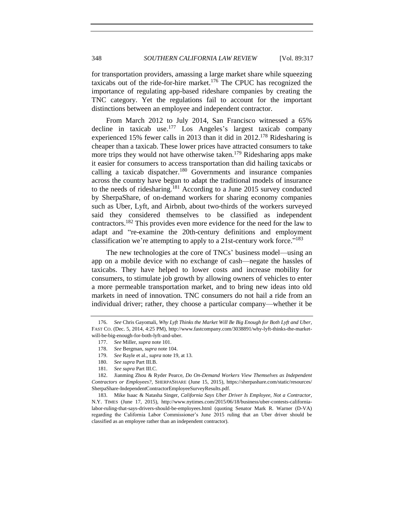for transportation providers, amassing a large market share while squeezing taxicabs out of the ride-for-hire market.<sup>176</sup> The CPUC has recognized the importance of regulating app-based rideshare companies by creating the TNC category. Yet the regulations fail to account for the important distinctions between an employee and independent contractor.

From March 2012 to July 2014, San Francisco witnessed a 65% decline in taxicab use.<sup>177</sup> Los Angeles's largest taxicab company experienced 15% fewer calls in 2013 than it did in 2012.<sup>178</sup> Ridesharing is cheaper than a taxicab. These lower prices have attracted consumers to take more trips they would not have otherwise taken.<sup>179</sup> Ridesharing apps make it easier for consumers to access transportation than did hailing taxicabs or calling a taxicab dispatcher.<sup>180</sup> Governments and insurance companies across the country have begun to adapt the traditional models of insurance to the needs of ridesharing.<sup>181</sup> According to a June 2015 survey conducted by SherpaShare, of on-demand workers for sharing economy companies such as Uber, Lyft, and Airbnb, about two-thirds of the workers surveyed said they considered themselves to be classified as independent contractors.<sup>182</sup> This provides even more evidence for the need for the law to adapt and "re-examine the 20th-century definitions and employment classification we're attempting to apply to a 21st-century work force."<sup>183</sup>

The new technologies at the core of TNCs' business model—using an app on a mobile device with no exchange of cash—negate the hassles of taxicabs. They have helped to lower costs and increase mobility for consumers, to stimulate job growth by allowing owners of vehicles to enter a more permeable transportation market, and to bring new ideas into old markets in need of innovation. TNC consumers do not hail a ride from an individual driver; rather, they choose a particular company—whether it be

<sup>176.</sup> *See* Chris Gayomali, *Why Lyft Thinks the Market Will Be Big Enough for Both Lyft and Uber*, FAST CO. (Dec. 5, 2014, 4:25 PM), http://www.fastcompany.com/3038891/why-lyft-thinks-the-marketwill-be-big-enough-for-both-lyft-and-uber.

<sup>177.</sup> *See* Miller, *supra* not[e 101.](#page-18-0)

<sup>178.</sup> *See* Bergman, *supra* not[e 104.](#page-18-1)

<sup>179.</sup> *See* Rayle et al., *supra* not[e 19,](#page-4-2) at 13.

<sup>180.</sup> *See supra* Part III.B.

<sup>181.</sup> *See supra* Part III.C.

<sup>182.</sup> Jianming Zhou & Ryder Pearce, *Do On-Demand Workers View Themselves as Independent Contractors or Employees?*, SHERPASHARE (June 15, 2015), https://sherpashare.com/static/resources/ SherpaShare-IndependentContractorEmployeeSurveyResults.pdf.

<sup>183.</sup> Mike Isaac & Natasha Singer, *California Says Uber Driver Is Employee, Not a Contractor*, N.Y. TIMES (June 17, 2015), http://www.nytimes.com/2015/06/18/business/uber-contests-californialabor-ruling-that-says-drivers-should-be-employees.html (quoting Senator Mark R. Warner (D-VA) regarding the California Labor Commissioner's June 2015 ruling that an Uber driver should be classified as an employee rather than an independent contractor).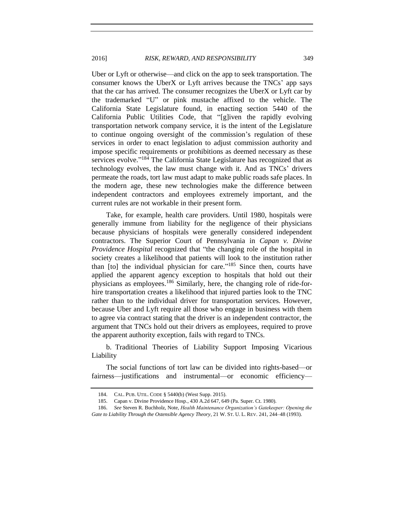Uber or Lyft or otherwise—and click on the app to seek transportation. The consumer knows the UberX or Lyft arrives because the TNCs' app says that the car has arrived. The consumer recognizes the UberX or Lyft car by the trademarked "U" or pink mustache affixed to the vehicle. The California State Legislature found, in enacting section 5440 of the California Public Utilities Code, that "[g]iven the rapidly evolving transportation network company service, it is the intent of the Legislature to continue ongoing oversight of the commission's regulation of these services in order to enact legislation to adjust commission authority and impose specific requirements or prohibitions as deemed necessary as these services evolve."<sup>184</sup> The California State Legislature has recognized that as technology evolves, the law must change with it. And as TNCs' drivers permeate the roads, tort law must adapt to make public roads safe places. In the modern age, these new technologies make the difference between independent contractors and employees extremely important, and the current rules are not workable in their present form.

Take, for example, health care providers. Until 1980, hospitals were generally immune from liability for the negligence of their physicians because physicians of hospitals were generally considered independent contractors. The Superior Court of Pennsylvania in *Capan v. Divine Providence Hospital* recognized that "the changing role of the hospital in society creates a likelihood that patients will look to the institution rather than [to] the individual physician for care."<sup>185</sup> Since then, courts have applied the apparent agency exception to hospitals that hold out their physicians as employees.<sup>186</sup> Similarly, here, the changing role of ride-forhire transportation creates a likelihood that injured parties look to the TNC rather than to the individual driver for transportation services. However, because Uber and Lyft require all those who engage in business with them to agree via contract stating that the driver is an independent contractor, the argument that TNCs hold out their drivers as employees, required to prove the apparent authority exception, fails with regard to TNCs.

b. Traditional Theories of Liability Support Imposing Vicarious Liability

The social functions of tort law can be divided into rights-based—or fairness—justifications and instrumental—or economic efficiency—

<sup>184.</sup> CAL. PUB. UTIL. CODE § 5440(b) (West Supp. 2015).

<sup>185.</sup> Capan v. Divine Providence Hosp*.*, 430 A.2d 647, 649 (Pa. Super. Ct. 1980).

<sup>186.</sup> *See* Steven R. Buchholz, Note, *Health Maintenance Organization's Gatekeeper: Opening the Gate to Liability Through the Ostensible Agency Theory*, 21 W. ST. U. L. REV. 241, 244–48 (1993).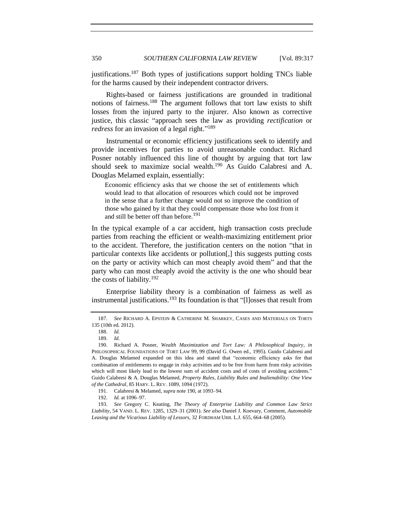<span id="page-33-2"></span>justifications.<sup>187</sup> Both types of justifications support holding TNCs liable for the harms caused by their independent contractor drivers.

Rights-based or fairness justifications are grounded in traditional notions of fairness.<sup>188</sup> The argument follows that tort law exists to shift losses from the injured party to the injurer. Also known as corrective justice, this classic "approach sees the law as providing *rectification* or redress for an invasion of a legal right."<sup>189</sup>

Instrumental or economic efficiency justifications seek to identify and provide incentives for parties to avoid unreasonable conduct. Richard Posner notably influenced this line of thought by arguing that tort law should seek to maximize social wealth.<sup>190</sup> As Guido Calabresi and A. Douglas Melamed explain, essentially:

<span id="page-33-0"></span>Economic efficiency asks that we choose the set of entitlements which would lead to that allocation of resources which could not be improved in the sense that a further change would not so improve the condition of those who gained by it that they could compensate those who lost from it and still be better off than before.<sup>191</sup>

In the typical example of a car accident, high transaction costs preclude parties from reaching the efficient or wealth-maximizing entitlement prior to the accident. Therefore, the justification centers on the notion "that in particular contexts like accidents or pollution[,] this suggests putting costs on the party or activity which can most cheaply avoid them" and that the party who can most cheaply avoid the activity is the one who should bear the costs of liability.<sup>192</sup>

<span id="page-33-1"></span>Enterprise liability theory is a combination of fairness as well as instrumental justifications.<sup>193</sup> Its foundation is that "[l]osses that result from

<sup>187.</sup> *See* RICHARD A. EPSTEIN & CATHERINE M. SHARKEY, CASES AND MATERIALS ON TORTS 135 (10th ed. 2012).

<sup>188.</sup> *Id.*

<sup>189.</sup> *Id.*

<sup>190.</sup> Richard A. Posner, *Wealth Maximization and Tort Law: A Philosophical Inquiry*, *in* PHILOSOPHICAL FOUNDATIONS OF TORT LAW 99, 99 (David G. Owen ed., 1995). Guido Calabresi and A. Douglas Melamed expanded on this idea and stated that "economic efficiency asks for that combination of entitlements to engage in risky activities and to be free from harm from risky activities which will most likely lead to the lowest sum of accident costs and of costs of avoiding accidents." Guido Calabresi & A. Douglas Melamed, *Property Rules, Liability Rules and Inalienability: One View of the Cathedral*, 85 HARV. L. REV. 1089, 1094 (1972).

<sup>191.</sup> Calabresi & Melamed, *supra* not[e 190,](#page-33-0) at 1093–94.

<sup>192.</sup> *Id.* at 1096–97.

<sup>193.</sup> *See* Gregory C. Keating, *The Theory of Enterprise Liability and Common Law Strict Liability*, 54 VAND. L. REV. 1285, 1329–31 (2001). *See also* Daniel J. Koevary, Comment, *Automobile Leasing and the Vicarious Liability of Lessors*, 32 FORDHAM URB. L.J. 655, 664–68 (2005).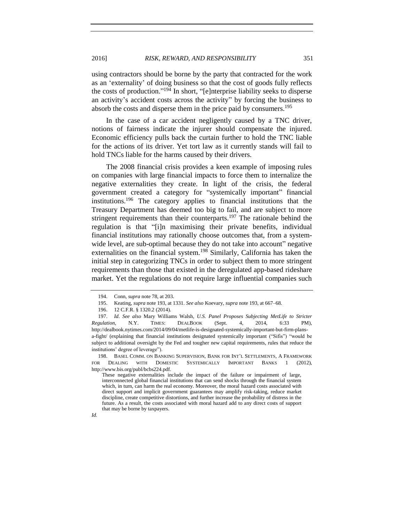using contractors should be borne by the party that contracted for the work as an 'externality' of doing business so that the cost of goods fully reflects the costs of production." <sup>194</sup> In short, "[e]nterprise liability seeks to disperse an activity's accident costs across the activity" by forcing the business to absorb the costs and disperse them in the price paid by consumers.<sup>195</sup>

In the case of a car accident negligently caused by a TNC driver, notions of fairness indicate the injurer should compensate the injured. Economic efficiency pulls back the curtain further to hold the TNC liable for the actions of its driver. Yet tort law as it currently stands will fail to hold TNCs liable for the harms caused by their drivers.

The 2008 financial crisis provides a keen example of imposing rules on companies with large financial impacts to force them to internalize the negative externalities they create. In light of the crisis, the federal government created a category for "systemically important" financial institutions.<sup>196</sup> The category applies to financial institutions that the Treasury Department has deemed too big to fail, and are subject to more stringent requirements than their counterparts.<sup>197</sup> The rationale behind the regulation is that "[i]n maximising their private benefits, individual financial institutions may rationally choose outcomes that, from a systemwide level, are sub-optimal because they do not take into account" negative externalities on the financial system.<sup>198</sup> Similarly, California has taken the initial step in categorizing TNCs in order to subject them to more stringent requirements than those that existed in the deregulated app-based rideshare market. Yet the regulations do not require large influential companies such

*Id.*

198. BASEL COMM. ON BANKING SUPERVISION, BANK FOR INT'L SETTLEMENTS, A FRAMEWORK FOR DEALING WITH DOMESTIC SYSTEMICALLY IMPORTANT BANKS 1 (2012), http://www.bis.org/publ/bcbs224.pdf.

<sup>194.</sup> Conn, *supra* not[e 78,](#page-14-0) at 203.

<sup>195.</sup> Keating, *supra* not[e 193,](#page-33-1) at 1331. *See also* Koevary, *supra* not[e 193,](#page-33-1) at 667–68.

<sup>196.</sup> 12 C.F.R. § 1320.2 (2014).

<sup>197.</sup> *Id*. *See also* Mary Williams Walsh, *U.S. Panel Proposes Subjecting MetLife to Stricter Regulation*, N.Y. TIMES: DEALBOOK (Sept. 4, 2014, 6:33 PM), http://dealbook.nytimes.com/2014/09/04/metlife-is-designated-systemically-important-but-firm-plansa-fight/ (explaining that financial institutions designated systemically important ("Sifis") "would be subject to additional oversight by the Fed and tougher new capital requirements, rules that reduce the institutions' degree of leverage").

These negative externalities include the impact of the failure or impairment of large, interconnected global financial institutions that can send shocks through the financial system which, in turn, can harm the real economy. Moreover, the moral hazard costs associated with direct support and implicit government guarantees may amplify risk-taking, reduce market discipline, create competitive distortions, and further increase the probability of distress in the future. As a result, the costs associated with moral hazard add to any direct costs of support that may be borne by taxpayers.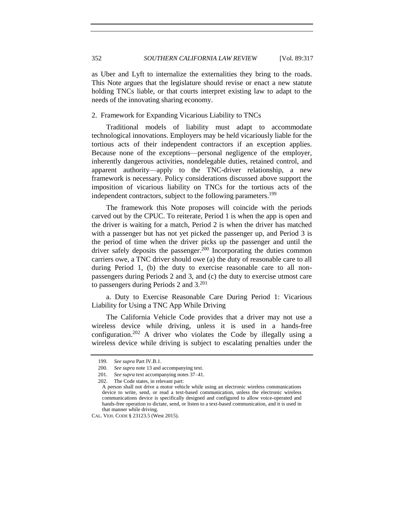as Uber and Lyft to internalize the externalities they bring to the roads. This Note argues that the legislature should revise or enact a new statute holding TNCs liable, or that courts interpret existing law to adapt to the needs of the innovating sharing economy.

#### 2. Framework for Expanding Vicarious Liability to TNCs

Traditional models of liability must adapt to accommodate technological innovations. Employers may be held vicariously liable for the tortious acts of their independent contractors if an exception applies. Because none of the exceptions—personal negligence of the employer, inherently dangerous activities, nondelegable duties, retained control, and apparent authority—apply to the TNC-driver relationship, a new framework is necessary. Policy considerations discussed above support the imposition of vicarious liability on TNCs for the tortious acts of the independent contractors, subject to the following parameters.<sup>199</sup>

The framework this Note proposes will coincide with the periods carved out by the CPUC. To reiterate, Period 1 is when the app is open and the driver is waiting for a match, Period 2 is when the driver has matched with a passenger but has not yet picked the passenger up, and Period 3 is the period of time when the driver picks up the passenger and until the driver safely deposits the passenger.<sup>200</sup> Incorporating the duties common carriers owe, a TNC driver should owe (a) the duty of reasonable care to all during Period 1, (b) the duty to exercise reasonable care to all nonpassengers during Periods 2 and 3, and (c) the duty to exercise utmost care to passengers during Periods 2 and 3.<sup>201</sup>

<span id="page-35-0"></span>a. Duty to Exercise Reasonable Care During Period 1: Vicarious Liability for Using a TNC App While Driving

The California Vehicle Code provides that a driver may not use a wireless device while driving, unless it is used in a hands-free configuration. <sup>202</sup> A driver who violates the Code by illegally using a wireless device while driving is subject to escalating penalties under the

<sup>199.</sup> *See supra* Part IV.B.1.

<sup>200.</sup> *See supra* not[e 13](#page-3-2) and accompanying text.

<sup>201.</sup> *See supra* text accompanying notes [37–](#page-7-0)[41.](#page-8-0)

<sup>202.</sup> The Code states, in relevant part:

A person shall not drive a motor vehicle while using an electronic wireless communications device to write, send, or read a text-based communication, unless the electronic wireless communications device is specifically designed and configured to allow voice-operated and hands-free operation to dictate, send, or listen to a text-based communication, and it is used in that manner while driving.

CAL. VEH. CODE § 23123.5 (West 2015).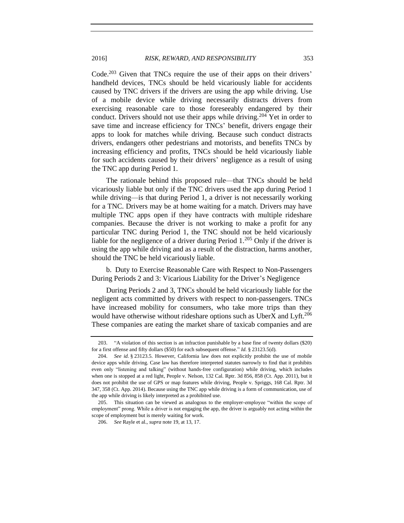Code.<sup>203</sup> Given that TNCs require the use of their apps on their drivers' handheld devices, TNCs should be held vicariously liable for accidents caused by TNC drivers if the drivers are using the app while driving. Use of a mobile device while driving necessarily distracts drivers from exercising reasonable care to those foreseeably endangered by their conduct. Drivers should not use their apps while driving.<sup>204</sup> Yet in order to save time and increase efficiency for TNCs' benefit, drivers engage their apps to look for matches while driving. Because such conduct distracts drivers, endangers other pedestrians and motorists, and benefits TNCs by increasing efficiency and profits, TNCs should be held vicariously liable for such accidents caused by their drivers' negligence as a result of using the TNC app during Period 1.

The rationale behind this proposed rule—that TNCs should be held vicariously liable but only if the TNC drivers used the app during Period 1 while driving—is that during Period 1, a driver is not necessarily working for a TNC. Drivers may be at home waiting for a match. Drivers may have multiple TNC apps open if they have contracts with multiple rideshare companies. Because the driver is not working to make a profit for any particular TNC during Period 1, the TNC should not be held vicariously liable for the negligence of a driver during Period  $1.^{205}$  Only if the driver is using the app while driving and as a result of the distraction, harms another, should the TNC be held vicariously liable.

b. Duty to Exercise Reasonable Care with Respect to Non-Passengers During Periods 2 and 3: Vicarious Liability for the Driver's Negligence

During Periods 2 and 3, TNCs should be held vicariously liable for the negligent acts committed by drivers with respect to non-passengers. TNCs have increased mobility for consumers, who take more trips than they would have otherwise without rideshare options such as UberX and Lyft.<sup>206</sup> These companies are eating the market share of taxicab companies and are

<sup>203.</sup> "A violation of this section is an infraction punishable by a base fine of twenty dollars (\$20) for a first offense and fifty dollars (\$50) for each subsequent offense." *Id.* § 23123.5(d).

<sup>204.</sup> *See id.* § 23123.5. However, California law does not explicitly prohibit the use of mobile device apps while driving. Case law has therefore interpreted statutes narrowly to find that it prohibits even only "listening and talking" (without hands-free configuration) while driving, which includes when one is stopped at a red light, People v. Nelson, 132 Cal. Rptr. 3d 856, 858 (Ct. App. 2011), but it does not prohibit the use of GPS or map features while driving, People v. Spriggs, 168 Cal. Rptr. 3d 347, 358 (Ct. App. 2014). Because using the TNC app while driving is a form of communication, use of the app while driving is likely interpreted as a prohibited use.

<sup>205.</sup> This situation can be viewed as analogous to the employer-employee "within the scope of employment" prong. While a driver is not engaging the app, the driver is arguably not acting within the scope of employment but is merely waiting for work.

<sup>206.</sup> *See* Rayle et al., *supra* not[e 19,](#page-4-2) at 13, 17.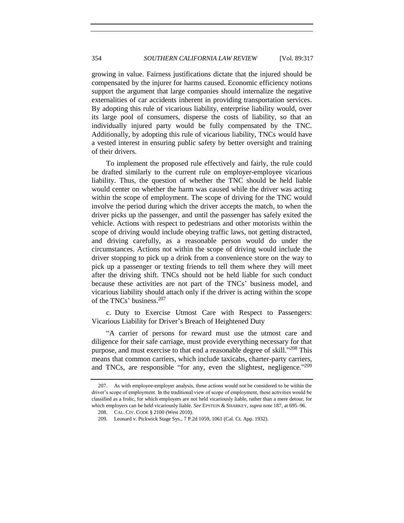growing in value. Fairness justifications dictate that the injured should be compensated by the injurer for harms caused. Economic efficiency notions support the argument that large companies should internalize the negative externalities of car accidents inherent in providing transportation services. By adopting this rule of vicarious liability, enterprise liability would, over its large pool of consumers, disperse the costs of liability, so that an individually injured party would be fully compensated by the TNC. Additionally, by adopting this rule of vicarious liability, TNCs would have a vested interest in ensuring public safety by better oversight and training of their drivers.

To implement the proposed rule effectively and fairly, the rule could be drafted similarly to the current rule on employer-employee vicarious liability. Thus, the question of whether the TNC should be held liable would center on whether the harm was caused while the driver was acting within the scope of employment. The scope of driving for the TNC would involve the period during which the driver accepts the match, to when the driver picks up the passenger, and until the passenger has safely exited the vehicle. Actions with respect to pedestrians and other motorists within the scope of driving would include obeying traffic laws, not getting distracted, and driving carefully, as a reasonable person would do under the circumstances. Actions not within the scope of driving would include the driver stopping to pick up a drink from a convenience store on the way to pick up a passenger or texting friends to tell them where they will meet after the driving shift. TNCs should not be held liable for such conduct because these activities are not part of the TNCs' business model, and vicarious liability should attach only if the driver is acting within the scope of the TNCs' business.<sup>207</sup>

c. Duty to Exercise Utmost Care with Respect to Passengers: Vicarious Liability for Driver's Breach of Heightened Duty

"A carrier of persons for reward must use the utmost care and diligence for their safe carriage, must provide everything necessary for that purpose, and must exercise to that end a reasonable degree of skill."<sup>208</sup> This means that common carriers, which include taxicabs, charter-party carriers, and TNCs, are responsible "for any, even the slightest, negligence."<sup>209</sup>

<sup>207.</sup> As with employee-employer analysis, these actions would not be considered to be within the driver's scope of employment. In the traditional view of scope of employment, these activities would be classified as a frolic, for which employers are not held vicariously liable, rather than a mere detour, for which employers can be held vicariously liable. *See* EPSTEIN & SHARKEY, *supra* not[e 187,](#page-33-2) at 695–96.

<sup>208.</sup> CAL. CIV. CODE § 2100 (West 2010).

<sup>209.</sup> Leonard v. Pickwick Stage Sys., 7 P.2d 1059, 1061 (Cal. Ct. App. 1932).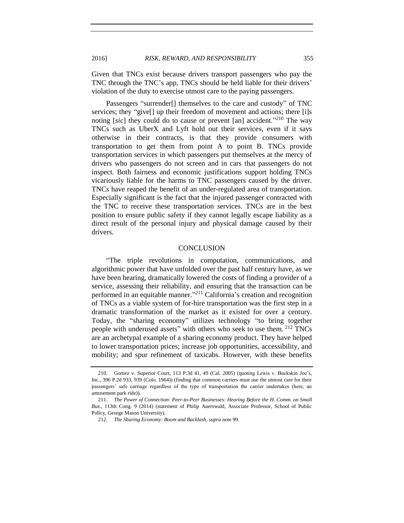Given that TNCs exist because drivers transport passengers who pay the TNC through the TNC's app, TNCs should be held liable for their drivers' violation of the duty to exercise utmost care to the paying passengers.

Passengers "surrender[] themselves to the care and custody" of TNC services; they "give[] up their freedom of movement and actions; there [i]s noting [*sic*] they could do to cause or prevent [an] accident." <sup>210</sup> The way TNCs such as UberX and Lyft hold out their services, even if it says otherwise in their contracts, is that they provide consumers with transportation to get them from point A to point B. TNCs provide transportation services in which passengers put themselves at the mercy of drivers who passengers do not screen and in cars that passengers do not inspect. Both fairness and economic justifications support holding TNCs vicariously liable for the harms to TNC passengers caused by the driver. TNCs have reaped the benefit of an under-regulated area of transportation. Especially significant is the fact that the injured passenger contracted with the TNC to receive these transportation services. TNCs are in the best position to ensure public safety if they cannot legally escape liability as a direct result of the personal injury and physical damage caused by their drivers.

#### **CONCLUSION**

"The triple revolutions in computation, communications, and algorithmic power that have unfolded over the past half century have, as we have been hearing, dramatically lowered the costs of finding a provider of a service, assessing their reliability, and ensuring that the transaction can be performed in an equitable manner."<sup>211</sup> California's creation and recognition of TNCs as a viable system of for-hire transportation was the first step in a dramatic transformation of the market as it existed for over a century. Today, the "sharing economy" utilizes technology "to bring together people with underused assets" with others who seek to use them. <sup>212</sup> TNCs are an archetypal example of a sharing economy product. They have helped to lower transportation prices; increase job opportunities, accessibility, and mobility; and spur refinement of taxicabs. However, with these benefits

<sup>210.</sup> Gomez v. Superior Court, 113 P.3d 41, 49 (Cal. 2005) (quoting Lewis v. Buckskin Joe's, Inc., 396 P.2d 933, 939 (Colo. 1964)) (finding that common carriers must use the utmost care for their passengers' safe carriage regardless of the type of transportation the carrier undertakes (here, an amusement park ride)).

<sup>211.</sup> *The Power of Connection: Peer-to-Peer Businesses: Hearing Before the H. Comm. on Small Bus.*, 113th Cong. 9 (2014) (statement of Philip Auerswald, Associate Professor, School of Public Policy, George Mason University).

<sup>212.</sup> *The Sharing Economy: Boom and Backlash*, *supra* not[e 99.](#page-17-0)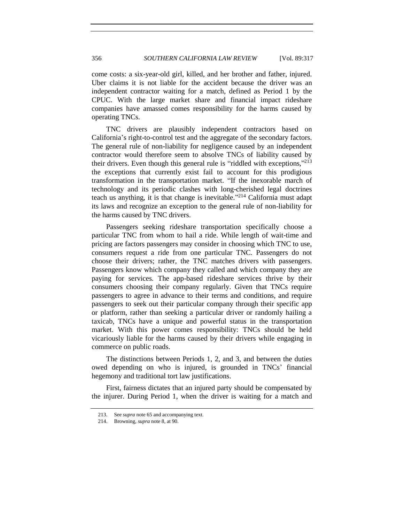come costs: a six-year-old girl, killed, and her brother and father, injured. Uber claims it is not liable for the accident because the driver was an independent contractor waiting for a match, defined as Period 1 by the CPUC. With the large market share and financial impact rideshare companies have amassed comes responsibility for the harms caused by operating TNCs.

TNC drivers are plausibly independent contractors based on California's right-to-control test and the aggregate of the secondary factors. The general rule of non-liability for negligence caused by an independent contractor would therefore seem to absolve TNCs of liability caused by their drivers. Even though this general rule is "riddled with exceptions,"<sup>213</sup> the exceptions that currently exist fail to account for this prodigious transformation in the transportation market. "If the inexorable march of technology and its periodic clashes with long-cherished legal doctrines teach us anything, it is that change is inevitable." <sup>214</sup> California must adapt its laws and recognize an exception to the general rule of non-liability for the harms caused by TNC drivers.

Passengers seeking rideshare transportation specifically choose a particular TNC from whom to hail a ride. While length of wait-time and pricing are factors passengers may consider in choosing which TNC to use, consumers request a ride from one particular TNC. Passengers do not choose their drivers; rather, the TNC matches drivers with passengers. Passengers know which company they called and which company they are paying for services. The app-based rideshare services thrive by their consumers choosing their company regularly. Given that TNCs require passengers to agree in advance to their terms and conditions, and require passengers to seek out their particular company through their specific app or platform, rather than seeking a particular driver or randomly hailing a taxicab, TNCs have a unique and powerful status in the transportation market. With this power comes responsibility: TNCs should be held vicariously liable for the harms caused by their drivers while engaging in commerce on public roads.

The distinctions between Periods 1, 2, and 3, and between the duties owed depending on who is injured, is grounded in TNCs' financial hegemony and traditional tort law justifications.

First, fairness dictates that an injured party should be compensated by the injurer. During Period 1, when the driver is waiting for a match and

<sup>213.</sup> See *supra* not[e 65](#page-13-0) and accompanying text.

<sup>214.</sup> Browning, *supra* not[e 8,](#page-2-2) at 90.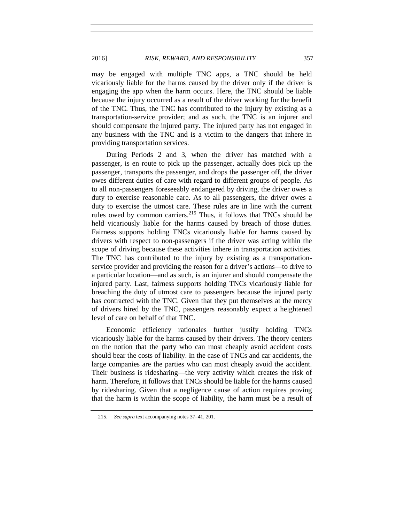may be engaged with multiple TNC apps, a TNC should be held vicariously liable for the harms caused by the driver only if the driver is engaging the app when the harm occurs. Here, the TNC should be liable because the injury occurred as a result of the driver working for the benefit of the TNC. Thus, the TNC has contributed to the injury by existing as a transportation-service provider; and as such, the TNC is an injurer and should compensate the injured party. The injured party has not engaged in any business with the TNC and is a victim to the dangers that inhere in providing transportation services.

During Periods 2 and 3, when the driver has matched with a passenger, is en route to pick up the passenger, actually does pick up the passenger, transports the passenger, and drops the passenger off, the driver owes different duties of care with regard to different groups of people. As to all non-passengers foreseeably endangered by driving, the driver owes a duty to exercise reasonable care. As to all passengers, the driver owes a duty to exercise the utmost care. These rules are in line with the current rules owed by common carriers.<sup>215</sup> Thus, it follows that TNCs should be held vicariously liable for the harms caused by breach of those duties. Fairness supports holding TNCs vicariously liable for harms caused by drivers with respect to non-passengers if the driver was acting within the scope of driving because these activities inhere in transportation activities. The TNC has contributed to the injury by existing as a transportationservice provider and providing the reason for a driver's actions—to drive to a particular location—and as such, is an injurer and should compensate the injured party. Last, fairness supports holding TNCs vicariously liable for breaching the duty of utmost care to passengers because the injured party has contracted with the TNC. Given that they put themselves at the mercy of drivers hired by the TNC, passengers reasonably expect a heightened level of care on behalf of that TNC.

Economic efficiency rationales further justify holding TNCs vicariously liable for the harms caused by their drivers. The theory centers on the notion that the party who can most cheaply avoid accident costs should bear the costs of liability. In the case of TNCs and car accidents, the large companies are the parties who can most cheaply avoid the accident. Their business is ridesharing—the very activity which creates the risk of harm. Therefore, it follows that TNCs should be liable for the harms caused by ridesharing. Given that a negligence cause of action requires proving that the harm is within the scope of liability, the harm must be a result of

<sup>215.</sup> *See supra* text accompanying notes [37–](#page-7-0)[41,](#page-8-0) [201.](#page-35-0)